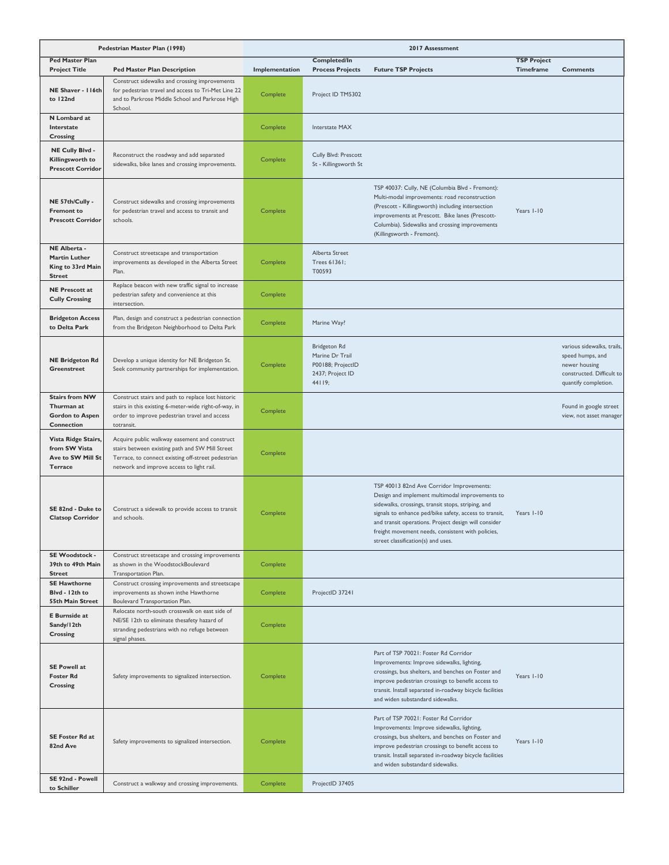| Pedestrian Master Plan (1998)                                               |                                                                                                                                                                                                     |                |                                                                                    | 2017 Assessment                                                                                                                                                                                                                                                                                                                                                 |                                 |                                                                                                                      |
|-----------------------------------------------------------------------------|-----------------------------------------------------------------------------------------------------------------------------------------------------------------------------------------------------|----------------|------------------------------------------------------------------------------------|-----------------------------------------------------------------------------------------------------------------------------------------------------------------------------------------------------------------------------------------------------------------------------------------------------------------------------------------------------------------|---------------------------------|----------------------------------------------------------------------------------------------------------------------|
| <b>Ped Master Plan</b><br><b>Project Title</b>                              | <b>Ped Master Plan Description</b>                                                                                                                                                                  | Implementation | <b>Completed/In</b><br><b>Process Projects</b>                                     | <b>Future TSP Projects</b>                                                                                                                                                                                                                                                                                                                                      | <b>TSP Project</b><br>Timeframe | <b>Comments</b>                                                                                                      |
| NE Shaver - I I 6th<br>to 122nd                                             | Construct sidewalks and crossing improvements<br>for pedestrian travel and access to Tri-Met Line 22<br>and to Parkrose Middle School and Parkrose High<br>School.                                  | Complete       | Project ID TM5302                                                                  |                                                                                                                                                                                                                                                                                                                                                                 |                                 |                                                                                                                      |
| N Lombard at<br>Interstate<br>Crossing                                      |                                                                                                                                                                                                     | Complete       | <b>Interstate MAX</b>                                                              |                                                                                                                                                                                                                                                                                                                                                                 |                                 |                                                                                                                      |
| NE Cully Blvd -<br>Killingsworth to<br><b>Prescott Corridor</b>             | Reconstruct the roadway and add separated<br>sidewalks, bike lanes and crossing improvements.                                                                                                       | Complete       | Cully Blvd: Prescott<br>St - Killingsworth St                                      |                                                                                                                                                                                                                                                                                                                                                                 |                                 |                                                                                                                      |
| NE 57th/Cully -<br><b>Fremont to</b><br><b>Prescott Corridor</b>            | Construct sidewalks and crossing improvements<br>for pedestrian travel and access to transit and<br>schools.                                                                                        | Complete       |                                                                                    | TSP 40037: Cully, NE (Columbia Blvd - Fremont):<br>Multi-modal improvements: road reconstruction<br>(Prescott - Killingsworth) including intersection<br>improvements at Prescott. Bike lanes (Prescott-<br>Columbia). Sidewalks and crossing improvements<br>(Killingsworth - Fremont).                                                                        | Years I-10                      |                                                                                                                      |
| NE Alberta -<br>Martin Luther<br>King to 33rd Main<br><b>Street</b>         | Construct streetscape and transportation<br>improvements as developed in the Alberta Street<br>Plan.                                                                                                | Complete       | Alberta Street<br>Trees 61361;<br>T00593                                           |                                                                                                                                                                                                                                                                                                                                                                 |                                 |                                                                                                                      |
| <b>NE Prescott at</b><br><b>Cully Crossing</b>                              | Replace beacon with new traffic signal to increase<br>pedestrian safety and convenience at this<br>intersection.                                                                                    | Complete       |                                                                                    |                                                                                                                                                                                                                                                                                                                                                                 |                                 |                                                                                                                      |
| <b>Bridgeton Access</b><br>to Delta Park                                    | Plan, design and construct a pedestrian connection<br>from the Bridgeton Neighborhood to Delta Park                                                                                                 | Complete       | Marine Way?                                                                        |                                                                                                                                                                                                                                                                                                                                                                 |                                 |                                                                                                                      |
| <b>NE Bridgeton Rd</b><br><b>Greenstreet</b>                                | Develop a unique identity for NE Bridgeton St.<br>Seek community partnerships for implementation.                                                                                                   | Complete       | Bridgeton Rd<br>Marine Dr Trail<br>P00188; ProjectID<br>2437; Project ID<br>44119; |                                                                                                                                                                                                                                                                                                                                                                 |                                 | various sidewalks, trails,<br>speed humps, and<br>newer housing<br>constructed. Difficult to<br>quantify completion. |
| <b>Stairs from NW</b><br>Thurman at<br><b>Gordon to Aspen</b><br>Connection | Construct stairs and path to replace lost historic<br>stairs in this existing 6-meter-wide right-of-way, in<br>order to improve pedestrian travel and access<br>totransit.                          | Complete       |                                                                                    |                                                                                                                                                                                                                                                                                                                                                                 |                                 | Found in google street<br>view, not asset manager                                                                    |
| Vista Ridge Stairs,<br>from SW Vista<br>Ave to SW Mill St<br><b>Terrace</b> | Acquire public walkway easement and construct<br>stairs between existing path and SW Mill Street<br>Terrace, to connect existing off-street pedestrian<br>network and improve access to light rail. | Complete       |                                                                                    |                                                                                                                                                                                                                                                                                                                                                                 |                                 |                                                                                                                      |
| SE 82nd - Duke to<br><b>Clatsop Corridor</b>                                | Construct a sidewalk to provide access to transit<br>and schools.                                                                                                                                   | Complete       |                                                                                    | TSP 40013 82nd Ave Corridor Improvements:<br>Design and implement multimodal improvements to<br>sidewalks, crossings, transit stops, striping, and<br>signals to enhance ped/bike safety, access to transit,<br>and transit operations. Project design will consider<br>freight movement needs, consistent with policies,<br>street classification(s) and uses. | Years I-10                      |                                                                                                                      |
| SE Woodstock -<br>39th to 49th Main<br><b>Street</b>                        | Construct streetscape and crossing improvements<br>as shown in the WoodstockBoulevard<br>Transportation Plan.                                                                                       | Complete       |                                                                                    |                                                                                                                                                                                                                                                                                                                                                                 |                                 |                                                                                                                      |
| <b>SE Hawthorne</b><br>Blvd - 12th to<br>55th Main Street                   | Construct crossing improvements and streetscape<br>improvements as shown inthe Hawthorne<br>Boulevard Transportation Plan.                                                                          | Complete       | ProjectID 37241                                                                    |                                                                                                                                                                                                                                                                                                                                                                 |                                 |                                                                                                                      |
| <b>E</b> Burnside at<br>Sandy/12th<br>Crossing                              | Relocate north-south crosswalk on east side of<br>NE/SE 12th to eliminate thesafety hazard of<br>stranding pedestrians with no refuge between<br>signal phases.                                     | Complete       |                                                                                    |                                                                                                                                                                                                                                                                                                                                                                 |                                 |                                                                                                                      |
| <b>SE Powell at</b><br><b>Foster Rd</b><br>Crossing                         | Safety improvements to signalized intersection.                                                                                                                                                     | Complete       |                                                                                    | Part of TSP 70021: Foster Rd Corridor<br>Improvements: Improve sidewalks, lighting,<br>crossings, bus shelters, and benches on Foster and<br>improve pedestrian crossings to benefit access to<br>transit. Install separated in-roadway bicycle facilities<br>and widen substandard sidewalks.                                                                  | Years I-10                      |                                                                                                                      |
| <b>SE Foster Rd at</b><br>82nd Ave                                          | Safety improvements to signalized intersection.                                                                                                                                                     | Complete       |                                                                                    | Part of TSP 70021: Foster Rd Corridor<br>Improvements: Improve sidewalks, lighting,<br>crossings, bus shelters, and benches on Foster and<br>improve pedestrian crossings to benefit access to<br>transit. Install separated in-roadway bicycle facilities<br>and widen substandard sidewalks.                                                                  | Years I-10                      |                                                                                                                      |
| SE 92nd - Powell<br>to Schiller                                             | Construct a walkway and crossing improvements.                                                                                                                                                      | Complete       | ProjectID 37405                                                                    |                                                                                                                                                                                                                                                                                                                                                                 |                                 |                                                                                                                      |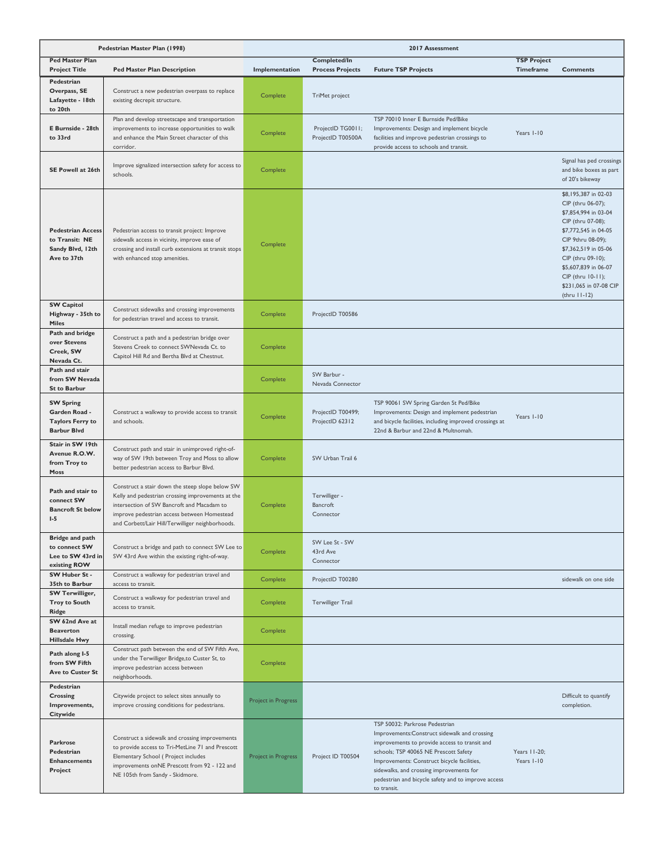| Pedestrian Master Plan (1998)                                                      |                                                                                                                                                                                                                                                       | 2017 Assessment     |                                                |                                                                                                                                                                                                                                                                                                                                           |                                        |                                                                                                                                                                                                                                                                           |
|------------------------------------------------------------------------------------|-------------------------------------------------------------------------------------------------------------------------------------------------------------------------------------------------------------------------------------------------------|---------------------|------------------------------------------------|-------------------------------------------------------------------------------------------------------------------------------------------------------------------------------------------------------------------------------------------------------------------------------------------------------------------------------------------|----------------------------------------|---------------------------------------------------------------------------------------------------------------------------------------------------------------------------------------------------------------------------------------------------------------------------|
| <b>Ped Master Plan</b><br><b>Project Title</b>                                     | <b>Ped Master Plan Description</b>                                                                                                                                                                                                                    | Implementation      | <b>Completed/In</b><br><b>Process Projects</b> | <b>Future TSP Projects</b>                                                                                                                                                                                                                                                                                                                | <b>TSP Project</b><br><b>Timeframe</b> | <b>Comments</b>                                                                                                                                                                                                                                                           |
| Pedestrian<br>Overpass, SE<br>Lafayette - 18th<br>to 20th                          | Construct a new pedestrian overpass to replace<br>existing decrepit structure.                                                                                                                                                                        | Complete            | TriMet project                                 |                                                                                                                                                                                                                                                                                                                                           |                                        |                                                                                                                                                                                                                                                                           |
| E Burnside - 28th<br>to 33rd                                                       | Plan and develop streetscape and transportation<br>improvements to increase opportunities to walk<br>and enhance the Main Street character of this<br>corridor.                                                                                       | Complete            | ProjectID TG0011;<br>ProjectID T00500A         | TSP 70010 Inner E Burnside Ped/Bike<br>Improvements: Design and implement bicycle<br>facilities and improve pedestrian crossings to<br>provide access to schools and transit.                                                                                                                                                             | Years I-10                             |                                                                                                                                                                                                                                                                           |
| SE Powell at 26th                                                                  | Improve signalized intersection safety for access to<br>schools.                                                                                                                                                                                      | Complete            |                                                |                                                                                                                                                                                                                                                                                                                                           |                                        | Signal has ped crossings<br>and bike boxes as part<br>of 20's bikeway                                                                                                                                                                                                     |
| <b>Pedestrian Access</b><br>to Transit: NE<br>Sandy Blvd, 12th<br>Ave to 37th      | Pedestrian access to transit project: Improve<br>sidewalk access in vicinity, improve ease of<br>crossing and install curb extensions at transit stops<br>with enhanced stop amenities.                                                               | Complete            |                                                |                                                                                                                                                                                                                                                                                                                                           |                                        | \$8,195,387 in 02-03<br>CIP (thru 06-07);<br>\$7,854,994 in 03-04<br>CIP (thru 07-08);<br>\$7,772,545 in 04-05<br>CIP 9thru 08-09);<br>\$7,362,519 in 05-06<br>CIP (thru 09-10);<br>\$5,607,839 in 06-07<br>CIP (thru 10-11);<br>\$231,065 in 07-08 CIP<br>$(thru 11-12)$ |
| <b>SW Capitol</b><br>Highway - 35th to<br><b>Miles</b>                             | Construct sidewalks and crossing improvements<br>for pedestrian travel and access to transit.                                                                                                                                                         | Complete            | ProjectID T00586                               |                                                                                                                                                                                                                                                                                                                                           |                                        |                                                                                                                                                                                                                                                                           |
| Path and bridge<br>over Stevens<br>Creek, SW<br>Nevada Ct.                         | Construct a path and a pedestrian bridge over<br>Stevens Creek to connect SWNevada Ct. to<br>Capitol Hill Rd and Bertha Blvd at Chestnut.                                                                                                             | Complete            |                                                |                                                                                                                                                                                                                                                                                                                                           |                                        |                                                                                                                                                                                                                                                                           |
| Path and stair<br>from SW Nevada<br><b>St to Barbur</b>                            |                                                                                                                                                                                                                                                       | Complete            | SW Barbur -<br>Nevada Connector                |                                                                                                                                                                                                                                                                                                                                           |                                        |                                                                                                                                                                                                                                                                           |
| <b>SW Spring</b><br>Garden Road -<br><b>Taylors Ferry to</b><br><b>Barbur Blvd</b> | Construct a walkway to provide access to transit<br>and schools.                                                                                                                                                                                      | Complete            | ProjectID T00499;<br>ProjectID 62312           | TSP 90061 SW Spring Garden St Ped/Bike<br>Improvements: Design and implement pedestrian<br>and bicycle facilities, including improved crossings at<br>22nd & Barbur and 22nd & Multnomah.                                                                                                                                                 | Years I-10                             |                                                                                                                                                                                                                                                                           |
| Stair in SW 19th<br>Avenue R.O.W.<br>from Troy to<br>Moss                          | Construct path and stair in unimproved right-of-<br>way of SW 19th between Troy and Moss to allow<br>better pedestrian access to Barbur Blvd.                                                                                                         | Complete            | SW Urban Trail 6                               |                                                                                                                                                                                                                                                                                                                                           |                                        |                                                                                                                                                                                                                                                                           |
| Path and stair to<br>connect SW<br><b>Bancroft St below</b><br>$I-5$               | Construct a stair down the steep slope below SW<br>Kelly and pedestrian crossing improvements at the<br>intersection of SW Bancroft and Macadam to<br>improve pedestrian access between Homestead<br>and Corbett/Lair Hill/Terwilliger neighborhoods. | Complete            | Terwilliger -<br><b>Bancroft</b><br>Connector  |                                                                                                                                                                                                                                                                                                                                           |                                        |                                                                                                                                                                                                                                                                           |
| <b>Bridge and path</b><br>to connect SW<br>Lee to SW 43rd in<br>existing ROW       | Construct a bridge and path to connect SW Lee to<br>SW 43rd Ave within the existing right-of-way.                                                                                                                                                     | Complete            | SW Lee St - SW<br>43rd Ave<br>Connector        |                                                                                                                                                                                                                                                                                                                                           |                                        |                                                                                                                                                                                                                                                                           |
| SW Huber St -<br>35th to Barbur                                                    | Construct a walkway for pedestrian travel and<br>access to transit.                                                                                                                                                                                   | Complete            | ProjectID T00280                               |                                                                                                                                                                                                                                                                                                                                           |                                        | sidewalk on one side                                                                                                                                                                                                                                                      |
| <b>SW Terwilliger,</b><br><b>Troy to South</b><br>Ridge                            | Construct a walkway for pedestrian travel and<br>access to transit.                                                                                                                                                                                   | Complete            | Terwilliger Trail                              |                                                                                                                                                                                                                                                                                                                                           |                                        |                                                                                                                                                                                                                                                                           |
| SW 62nd Ave at<br><b>Beaverton</b><br><b>Hillsdale Hwy</b>                         | Install median refuge to improve pedestrian<br>crossing.                                                                                                                                                                                              | Complete            |                                                |                                                                                                                                                                                                                                                                                                                                           |                                        |                                                                                                                                                                                                                                                                           |
| Path along I-5<br>from SW Fifth<br>Ave to Custer St                                | Construct path between the end of SW Fifth Ave,<br>under the Terwilliger Bridge,to Custer St, to<br>improve pedestrian access between<br>neighborhoods.                                                                                               | Complete            |                                                |                                                                                                                                                                                                                                                                                                                                           |                                        |                                                                                                                                                                                                                                                                           |
| Pedestrian<br>Crossing<br>Improvements,<br>Citywide                                | Citywide project to select sites annually to<br>improve crossing conditions for pedestrians.                                                                                                                                                          | Project in Progress |                                                |                                                                                                                                                                                                                                                                                                                                           |                                        | Difficult to quantify<br>completion.                                                                                                                                                                                                                                      |
| <b>Parkrose</b><br>Pedestrian<br><b>Enhancements</b><br>Project                    | Construct a sidewalk and crossing improvements<br>to provide access to Tri-MetLine 71 and Prescott<br>Elementary School (Project includes<br>improvements onNE Prescott from 92 - 122 and<br>NE 105th from Sandy - Skidmore.                          | Project in Progress | Project ID T00504                              | TSP 50032: Parkrose Pedestrian<br>Improvements:Construct sidewalk and crossing<br>improvements to provide access to transit and<br>schools; TSP 40065 NE Prescott Safety<br>Improvements: Construct bicycle facilities,<br>sidewalks, and crossing improvements for<br>pedestrian and bicycle safety and to improve access<br>to transit. | Years 11-20;<br>Years I-10             |                                                                                                                                                                                                                                                                           |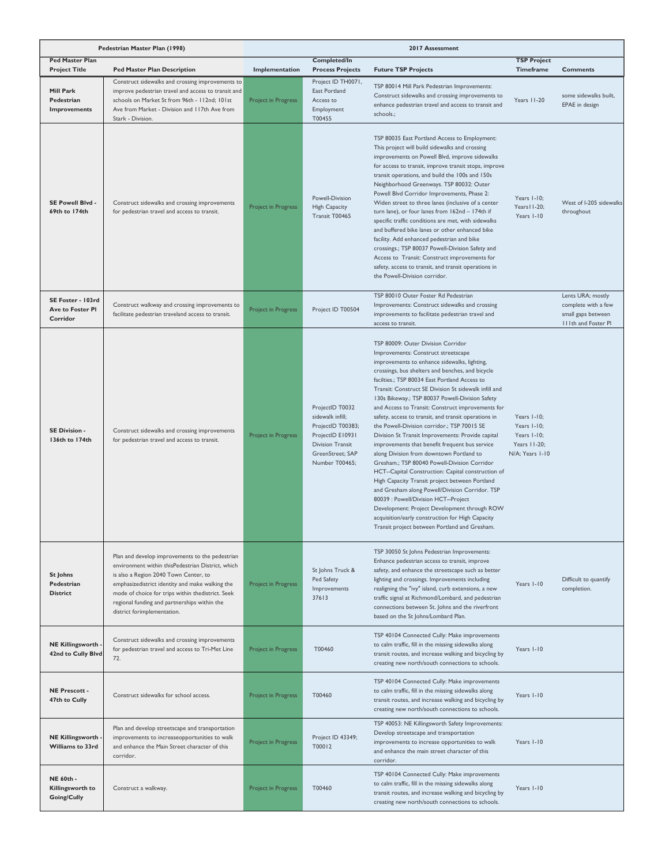|                                                          | Pedestrian Master Plan (1998)                                                                                                                                                                                                                                                                                                        |                     | 2017 Assessment                                                                                                                               |                                                                                                                                                                                                                                                                                                                                                                                                                                                                                                                                                                                                                                                                                                                                                                                                                                                                                                                                                                                                                                                                   |                                                                              |                                                                                       |
|----------------------------------------------------------|--------------------------------------------------------------------------------------------------------------------------------------------------------------------------------------------------------------------------------------------------------------------------------------------------------------------------------------|---------------------|-----------------------------------------------------------------------------------------------------------------------------------------------|-------------------------------------------------------------------------------------------------------------------------------------------------------------------------------------------------------------------------------------------------------------------------------------------------------------------------------------------------------------------------------------------------------------------------------------------------------------------------------------------------------------------------------------------------------------------------------------------------------------------------------------------------------------------------------------------------------------------------------------------------------------------------------------------------------------------------------------------------------------------------------------------------------------------------------------------------------------------------------------------------------------------------------------------------------------------|------------------------------------------------------------------------------|---------------------------------------------------------------------------------------|
| <b>Ped Master Plan</b><br><b>Project Title</b>           | <b>Ped Master Plan Description</b>                                                                                                                                                                                                                                                                                                   | Implementation      | Completed/In<br><b>Process Projects</b>                                                                                                       | <b>Future TSP Projects</b>                                                                                                                                                                                                                                                                                                                                                                                                                                                                                                                                                                                                                                                                                                                                                                                                                                                                                                                                                                                                                                        | <b>TSP Project</b><br>Timeframe                                              | <b>Comments</b>                                                                       |
| Mill Park<br>Pedestrian<br>Improvements                  | Construct sidewalks and crossing improvements to<br>improve pedestrian travel and access to transit and<br>schools on Market St from 96th - 112nd; 101st<br>Ave from Market - Division and 117th Ave from<br>Stark - Division.                                                                                                       | Project in Progress | Project ID TH0071,<br>East Portland<br>Access to<br>Employment<br>T00455                                                                      | TSP 80014 Mill Park Pedestrian Improvements:<br>Construct sidewalks and crossing improvements to<br>enhance pedestrian travel and access to transit and<br>schools.;                                                                                                                                                                                                                                                                                                                                                                                                                                                                                                                                                                                                                                                                                                                                                                                                                                                                                              | Years 11-20                                                                  | some sidewalks built.<br>EPAE in design                                               |
| SE Powell Blvd -<br>69th to 174th                        | Construct sidewalks and crossing improvements<br>for pedestrian travel and access to transit.                                                                                                                                                                                                                                        | Project in Progress | Powell-Division<br><b>High Capacity</b><br>Transit T00465                                                                                     | TSP 80035 East Portland Access to Employment:<br>This project will build sidewalks and crossing<br>improvements on Powell Blvd, improve sidewalks<br>for access to transit, improve transit stops, improve<br>transit operations, and build the 100s and 150s<br>Neighborhood Greenways. TSP 80032: Outer<br>Powell Blvd Corridor Improvements, Phase 2:<br>Widen street to three lanes (inclusive of a center<br>turn lane), or four lanes from 162nd - 174th if<br>specific traffic conditions are met, with sidewalks<br>and buffered bike lanes or other enhanced bike<br>facility. Add enhanced pedestrian and bike<br>crossings.; TSP 80037 Powell-Division Safety and<br>Access to Transit: Construct improvements for<br>safety, access to transit, and transit operations in<br>the Powell-Division corridor.                                                                                                                                                                                                                                            | Years I-10;<br>Years II-20;<br>Years I-10                                    | West of I-205 sidewalks<br>throughout                                                 |
| SE Foster - 103rd<br><b>Ave to Foster PI</b><br>Corridor | Construct walkway and crossing improvements to<br>facilitate pedestrian traveland access to transit.                                                                                                                                                                                                                                 | Project in Progress | Project ID T00504                                                                                                                             | TSP 80010 Outer Foster Rd Pedestrian<br>Improvements: Construct sidewalks and crossing<br>improvements to facilitate pedestrian travel and<br>access to transit.                                                                                                                                                                                                                                                                                                                                                                                                                                                                                                                                                                                                                                                                                                                                                                                                                                                                                                  |                                                                              | Lents URA; mostly<br>complete with a few<br>small gaps between<br>IIIth and Foster PI |
| SE Division -<br>136th to 174th                          | Construct sidewalks and crossing improvements<br>for pedestrian travel and access to transit.                                                                                                                                                                                                                                        | Project in Progress | ProjectID T0032<br>sidewalk infill;<br>ProjectID T00383;<br>ProjectID E10931<br><b>Division Transit</b><br>GreenStreet; SAP<br>Number T00465; | TSP 80009: Outer Division Corridor<br>Improvements: Construct streetscape<br>improvements to enhance sidewalks, lighting,<br>crossings, bus shelters and benches, and bicycle<br>facilties.; TSP 80034 East Portland Access to<br>Transit: Construct SE Division St sidewalk infill and<br>130s Bikeway.; TSP 80037 Powell-Division Safety<br>and Access to Transit: Construct improvements for<br>safety, access to transit, and transit operations in<br>the Powell-Division corridor.; TSP 70015 SE<br>Division St Transit Improvements: Provide capital<br>improvements that benefit frequent bus service<br>along Division from downtown Portland to<br>Gresham.; TSP 80040 Powell-Division Corridor<br>HCT--Capital Construction: Capital construction of<br>High Capacity Transit project between Portland<br>and Gresham along Powell/Division Corridor. TSP<br>80039 : Powell/Division HCT--Project<br>Development: Project Development through ROW<br>acquisition/early construction for High Capacity<br>Transit project between Portland and Gresham. | Years I-10;<br>Years I-10;<br>Years I-10;<br>Years 11-20;<br>N/A; Years I-10 |                                                                                       |
| <b>St Johns</b><br>Pedestrian<br><b>District</b>         | Plan and develop improvements to the pedestrian<br>environment within thisPedestrian District, which<br>is also a Region 2040 Town Center, to<br>emphasizedistrict identity and make walking the<br>mode of choice for trips within thedistrict. Seek<br>regional funding and partnerships within the<br>district forimplementation. | Project in Progress | St Johns Truck &<br>Ped Safety<br>Improvements<br>37613                                                                                       | TSP 30050 St Johns Pedestrian Improvements:<br>Enhance pedestrian access to transit, improve<br>safety, and enhance the streetscape such as better<br>lighting and crossings. Improvements including<br>realigning the "ivy" island, curb extensions, a new<br>traffic signal at Richmond/Lombard, and pedestrian<br>connections between St. Johns and the riverfront<br>based on the St Johns/Lombard Plan.                                                                                                                                                                                                                                                                                                                                                                                                                                                                                                                                                                                                                                                      | Years I-10                                                                   | Difficult to quantify<br>completion.                                                  |
| <b>NE Killingsworth</b><br>42nd to Cully Blvd            | Construct sidewalks and crossing improvements<br>for pedestrian travel and access to Tri-Met Line<br>72.                                                                                                                                                                                                                             | Project in Progress | T00460                                                                                                                                        | TSP 40104 Connected Cully: Make improvements<br>to calm traffic, fill in the missing sidewalks along<br>transit routes, and increase walking and bicycling by<br>creating new north/south connections to schools.                                                                                                                                                                                                                                                                                                                                                                                                                                                                                                                                                                                                                                                                                                                                                                                                                                                 | Years I-10                                                                   |                                                                                       |
| <b>NE Prescott -</b><br>47th to Cully                    | Construct sidewalks for school access.                                                                                                                                                                                                                                                                                               | Project in Progress | T00460                                                                                                                                        | TSP 40104 Connected Cully: Make improvements<br>to calm traffic, fill in the missing sidewalks along<br>transit routes, and increase walking and bicycling by<br>creating new north/south connections to schools.                                                                                                                                                                                                                                                                                                                                                                                                                                                                                                                                                                                                                                                                                                                                                                                                                                                 | Years I-10                                                                   |                                                                                       |
| <b>NE Killingsworth</b><br>Williams to 33rd              | Plan and develop streetscape and transportation<br>improvements to increaseopportunities to walk<br>and enhance the Main Street character of this<br>corridor.                                                                                                                                                                       | Project in Progress | Project ID 43349;<br>T00012                                                                                                                   | TSP 40053: NE Killingsworth Safety Improvements:<br>Develop streetscape and transportation<br>improvements to increase opportunities to walk<br>and enhance the main street character of this<br>corridor.                                                                                                                                                                                                                                                                                                                                                                                                                                                                                                                                                                                                                                                                                                                                                                                                                                                        | Years I-10                                                                   |                                                                                       |
| <b>NE 60th -</b><br>Killingsworth to<br>Going/Cully      | Construct a walkway.                                                                                                                                                                                                                                                                                                                 | Project in Progress | T00460                                                                                                                                        | TSP 40104 Connected Cully: Make improvements<br>to calm traffic, fill in the missing sidewalks along<br>transit routes, and increase walking and bicycling by<br>creating new north/south connections to schools.                                                                                                                                                                                                                                                                                                                                                                                                                                                                                                                                                                                                                                                                                                                                                                                                                                                 | Years I-10                                                                   |                                                                                       |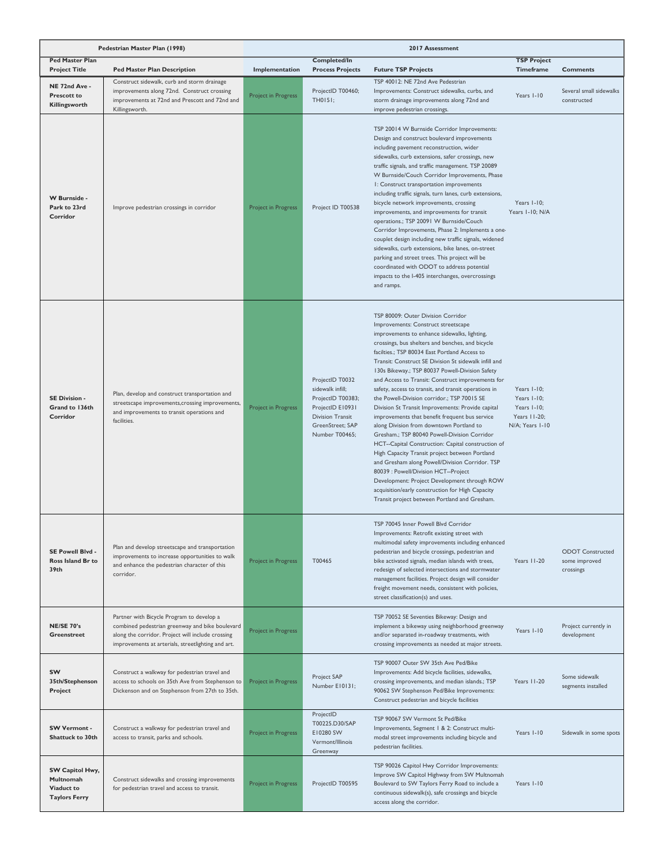|                                                                    | Pedestrian Master Plan (1998)                                                                                                                                                                           |                            | 2017 Assessment                                                                                                                        |                                                                                                                                                                                                                                                                                                                                                                                                                                                                                                                                                                                                                                                                                                                                                                                                                                                                                                                                                                                                                                                                   |                                                                              |                                                       |
|--------------------------------------------------------------------|---------------------------------------------------------------------------------------------------------------------------------------------------------------------------------------------------------|----------------------------|----------------------------------------------------------------------------------------------------------------------------------------|-------------------------------------------------------------------------------------------------------------------------------------------------------------------------------------------------------------------------------------------------------------------------------------------------------------------------------------------------------------------------------------------------------------------------------------------------------------------------------------------------------------------------------------------------------------------------------------------------------------------------------------------------------------------------------------------------------------------------------------------------------------------------------------------------------------------------------------------------------------------------------------------------------------------------------------------------------------------------------------------------------------------------------------------------------------------|------------------------------------------------------------------------------|-------------------------------------------------------|
| <b>Ped Master Plan</b><br><b>Project Title</b>                     | <b>Ped Master Plan Description</b>                                                                                                                                                                      | Implementation             | Completed/In<br><b>Process Projects</b>                                                                                                | <b>Future TSP Projects</b>                                                                                                                                                                                                                                                                                                                                                                                                                                                                                                                                                                                                                                                                                                                                                                                                                                                                                                                                                                                                                                        | <b>TSP Project</b><br>Timeframe                                              | <b>Comments</b>                                       |
| NE 72nd Ave -<br><b>Prescott to</b><br>Killingsworth               | Construct sidewalk, curb and storm drainage<br>improvements along 72nd. Construct crossing<br>improvements at 72nd and Prescott and 72nd and<br>Killingsworth.                                          | Project in Progress        | ProjectID T00460;<br>TH0151;                                                                                                           | TSP 40012: NE 72nd Ave Pedestrian<br>Improvements: Construct sidewalks, curbs, and<br>storm drainage improvements along 72nd and<br>improve pedestrian crossings.                                                                                                                                                                                                                                                                                                                                                                                                                                                                                                                                                                                                                                                                                                                                                                                                                                                                                                 | Years I-10                                                                   | Several small sidewalks<br>constructed                |
| W Burnside -<br>Park to 23rd<br>Corridor                           | Improve pedestrian crossings in corridor                                                                                                                                                                | <b>Project in Progress</b> | Project ID T00538                                                                                                                      | TSP 20014 W Burnside Corridor Improvements:<br>Design and construct boulevard improvements<br>including pavement reconstruction, wider<br>sidewalks, curb extensions, safer crossings, new<br>traffic signals, and traffic management. TSP 20089<br>W Burnside/Couch Corridor Improvements, Phase<br>I: Construct transportation improvements<br>including traffic signals, turn lanes, curb extensions,<br>bicycle network improvements, crossing<br>improvements, and improvements for transit<br>operations.; TSP 20091 W Burnside/Couch<br>Corridor Improvements, Phase 2: Implements a one-<br>couplet design including new traffic signals, widened<br>sidewalks, curb extensions, bike lanes, on-street<br>parking and street trees. This project will be<br>coordinated with ODOT to address potential<br>impacts to the I-405 interchanges, overcrossings<br>and ramps.                                                                                                                                                                                  | Years I-10;<br>Years I-10; N/A                                               |                                                       |
| SE Division -<br>Grand to 136th<br>Corridor                        | Plan, develop and construct transportation and<br>streetscape improvements, crossing improvements,<br>and improvements to transit operations and<br>facilities.                                         | Project in Progress        | ProjectID T0032<br>sidewalk infill;<br>ProjectID T00383;<br>ProjectID E10931<br>Division Transit<br>GreenStreet; SAP<br>Number T00465; | TSP 80009: Outer Division Corridor<br>Improvements: Construct streetscape<br>improvements to enhance sidewalks, lighting,<br>crossings, bus shelters and benches, and bicycle<br>facilties.; TSP 80034 East Portland Access to<br>Transit: Construct SE Division St sidewalk infill and<br>130s Bikeway.; TSP 80037 Powell-Division Safety<br>and Access to Transit: Construct improvements for<br>safety, access to transit, and transit operations in<br>the Powell-Division corridor.; TSP 70015 SE<br>Division St Transit Improvements: Provide capital<br>improvements that benefit frequent bus service<br>along Division from downtown Portland to<br>Gresham.; TSP 80040 Powell-Division Corridor<br>HCT--Capital Construction: Capital construction of<br>High Capacity Transit project between Portland<br>and Gresham along Powell/Division Corridor. TSP<br>80039 : Powell/Division HCT--Project<br>Development: Project Development through ROW<br>acquisition/early construction for High Capacity<br>Transit project between Portland and Gresham. | Years I-10;<br>Years I-10;<br>Years I-10;<br>Years 11-20;<br>N/A; Years 1-10 |                                                       |
| SE Powell Blvd -<br><b>Ross Island Br to</b><br>39th               | Plan and develop streetscape and transportation<br>improvements to increase opportunities to walk<br>and enhance the pedestrian character of this<br>corridor.                                          | Project in Progress        | T00465                                                                                                                                 | TSP 70045 Inner Powell Blvd Corridor<br>Improvements: Retrofit existing street with<br>multimodal safety improvements including enhanced<br>pedestrian and bicycle crossings, pedestrian and<br>bike activated signals, median islands with trees,<br>redesign of selected intersections and stormwater<br>management facilities. Project design will consider<br>freight movement needs, consistent with policies,<br>street classification(s) and uses.                                                                                                                                                                                                                                                                                                                                                                                                                                                                                                                                                                                                         | Years 11-20                                                                  | <b>ODOT</b> Constructed<br>some improved<br>crossings |
| <b>NE/SE 70's</b><br><b>Greenstreet</b>                            | Partner with Bicycle Program to develop a<br>combined pedestrian greenway and bike boulevard<br>along the corridor. Project will include crossing<br>improvements at arterials, streetlighting and art. | Project in Progress        |                                                                                                                                        | TSP 70052 SE Seventies Bikeway: Design and<br>implement a bikeway using neighborhood greenway<br>and/or separated in-roadway treatments, with<br>crossing improvements as needed at major streets.                                                                                                                                                                                                                                                                                                                                                                                                                                                                                                                                                                                                                                                                                                                                                                                                                                                                | Years I-10                                                                   | Project currently in<br>development                   |
| <b>SW</b><br>35th/Stephenson<br>Project                            | Construct a walkway for pedestrian travel and<br>access to schools on 35th Ave from Stephenson to<br>Dickenson and on Stephenson from 27th to 35th.                                                     | Project in Progress        | Project SAP<br>Number E10131;                                                                                                          | TSP 90007 Outer SW 35th Ave Ped/Bike<br>Improvements: Add bicycle facilities, sidewalks,<br>crossing improvements, and median islands.; TSP<br>90062 SW Stephenson Ped/Bike Improvements:<br>Construct pedestrian and bicycle facilities                                                                                                                                                                                                                                                                                                                                                                                                                                                                                                                                                                                                                                                                                                                                                                                                                          | Years 11-20                                                                  | Some sidewalk<br>segments installed                   |
| <b>SW Vermont -</b><br><b>Shattuck to 30th</b>                     | Construct a walkway for pedestrian travel and<br>access to transit, parks and schools.                                                                                                                  | Project in Progress        | ProjectID<br>T00225.D30/SAP<br>E10280 SW<br>Vermont/Illinois<br>Greenway                                                               | TSP 90067 SW Vermont St Ped/Bike<br>Improvements, Segment   & 2: Construct multi-<br>modal street improvements including bicycle and<br>pedestrian facilities.                                                                                                                                                                                                                                                                                                                                                                                                                                                                                                                                                                                                                                                                                                                                                                                                                                                                                                    | Years I-10                                                                   | Sidewalk in some spots                                |
| SW Capitol Hwy,<br>Multnomah<br>Viaduct to<br><b>Taylors Ferry</b> | Construct sidewalks and crossing improvements<br>for pedestrian travel and access to transit.                                                                                                           | Project in Progress        | ProjectID T00595                                                                                                                       | TSP 90026 Capitol Hwy Corridor Improvements:<br>Improve SW Capitol Highway from SW Multnomah<br>Boulevard to SW Taylors Ferry Road to include a<br>continuous sidewalk(s), safe crossings and bicycle<br>access along the corridor.                                                                                                                                                                                                                                                                                                                                                                                                                                                                                                                                                                                                                                                                                                                                                                                                                               | Years I-10                                                                   |                                                       |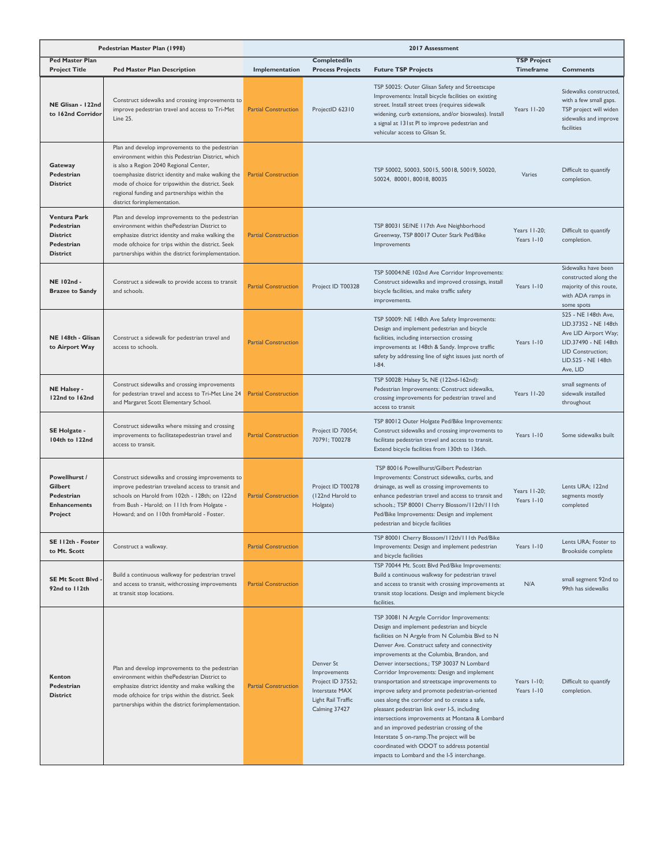|                                                                                       | Pedestrian Master Plan (1998)                                                                                                                                                                                                                                                                                                             | 2017 Assessment             |                                                                                                         |                                                                                                                                                                                                                                                                                                                                                                                                                                                                                                                                                                                                                                                                                                                                                                                          |                                        |                                                                                                                                                    |
|---------------------------------------------------------------------------------------|-------------------------------------------------------------------------------------------------------------------------------------------------------------------------------------------------------------------------------------------------------------------------------------------------------------------------------------------|-----------------------------|---------------------------------------------------------------------------------------------------------|------------------------------------------------------------------------------------------------------------------------------------------------------------------------------------------------------------------------------------------------------------------------------------------------------------------------------------------------------------------------------------------------------------------------------------------------------------------------------------------------------------------------------------------------------------------------------------------------------------------------------------------------------------------------------------------------------------------------------------------------------------------------------------------|----------------------------------------|----------------------------------------------------------------------------------------------------------------------------------------------------|
| <b>Ped Master Plan</b><br><b>Project Title</b>                                        | <b>Ped Master Plan Description</b>                                                                                                                                                                                                                                                                                                        | Implementation              | <b>Completed/In</b><br><b>Process Projects</b>                                                          | <b>Future TSP Projects</b>                                                                                                                                                                                                                                                                                                                                                                                                                                                                                                                                                                                                                                                                                                                                                               | <b>TSP Project</b><br><b>Timeframe</b> | <b>Comments</b>                                                                                                                                    |
| NE Glisan - 122nd<br>to 162nd Corridor                                                | Construct sidewalks and crossing improvements to<br>improve pedestrian travel and access to Tri-Met<br><b>Line 25.</b>                                                                                                                                                                                                                    | <b>Partial Construction</b> | ProjectID 62310                                                                                         | TSP 50025: Outer Glisan Safety and Streetscape<br>Improvements: Install bicycle facilities on existing<br>street. Install street trees (requires sidewalk<br>widening, curb extensions, and/or bioswales). Install<br>a signal at 131st PI to improve pedestrian and<br>vehicular access to Glisan St.                                                                                                                                                                                                                                                                                                                                                                                                                                                                                   | Years 11-20                            | Sidewalks constructed,<br>with a few small gaps.<br>TSP project will widen<br>sidewalks and improve<br>facilities                                  |
| Gateway<br>Pedestrian<br><b>District</b>                                              | Plan and develop improvements to the pedestrian<br>environment within this Pedestrian District, which<br>is also a Region 2040 Regional Center,<br>toemphasize district identity and make walking the<br>mode of choice for tripswithin the district. Seek<br>regional funding and partnerships within the<br>district forimplementation. | <b>Partial Construction</b> |                                                                                                         | TSP 50002, 50003, 50015, 50018, 50019, 50020,<br>50024, 80001, 80018, 80035                                                                                                                                                                                                                                                                                                                                                                                                                                                                                                                                                                                                                                                                                                              | Varies                                 | Difficult to quantify<br>completion.                                                                                                               |
| <b>Ventura Park</b><br>Pedestrian<br><b>District</b><br>Pedestrian<br><b>District</b> | Plan and develop improvements to the pedestrian<br>environment within thePedestrian District to<br>emphasize district identity and make walking the<br>mode ofchoice for trips within the district. Seek<br>partnerships within the district forimplementation.                                                                           | <b>Partial Construction</b> |                                                                                                         | TSP 80031 SE/NE 117th Ave Neighborhood<br>Greenway, TSP 80017 Outer Stark Ped/Bike<br>Improvements                                                                                                                                                                                                                                                                                                                                                                                                                                                                                                                                                                                                                                                                                       | Years 11-20;<br>Years I-10             | Difficult to quantify<br>completion.                                                                                                               |
| NE 102nd -<br><b>Brazee to Sandy</b>                                                  | Construct a sidewalk to provide access to transit<br>and schools.                                                                                                                                                                                                                                                                         | <b>Partial Construction</b> | Project ID T00328                                                                                       | TSP 50004:NE 102nd Ave Corridor Improvements:<br>Construct sidewalks and improved crossings, install<br>bicycle facilities, and make traffic safety<br>improvements.                                                                                                                                                                                                                                                                                                                                                                                                                                                                                                                                                                                                                     | Years I-10                             | Sidewalks have been<br>constructed along the<br>majority of this route,<br>with ADA ramps in<br>some spots                                         |
| NE 148th - Glisan<br>to Airport Way                                                   | Construct a sidewalk for pedestrian travel and<br>access to schools.                                                                                                                                                                                                                                                                      | <b>Partial Construction</b> |                                                                                                         | TSP 50009: NE 148th Ave Safety Improvements:<br>Design and implement pedestrian and bicycle<br>facilities, including intersection crossing<br>improvements at 148th & Sandy. Improve traffic<br>safety by addressing line of sight issues just north of<br>$I-84.$                                                                                                                                                                                                                                                                                                                                                                                                                                                                                                                       | Years I-10                             | 525 - NE 148th Ave.<br>LID.37352 - NE 148th<br>Ave LID Airport Way;<br>LID.37490 - NE 148th<br>LID Construction;<br>LID.525 - NE 148th<br>Ave, LID |
| NE Halsey -<br>122nd to 162nd                                                         | Construct sidewalks and crossing improvements<br>for pedestrian travel and access to Tri-Met Line 24<br>and Margaret Scott Elementary School.                                                                                                                                                                                             | <b>Partial Construction</b> |                                                                                                         | TSP 50028: Halsey St, NE (122nd-162nd):<br>Pedestrian Improvements: Construct sidewalks,<br>crossing improvements for pedestrian travel and<br>access to transit                                                                                                                                                                                                                                                                                                                                                                                                                                                                                                                                                                                                                         | Years 11-20                            | small segments of<br>sidewalk installed<br>throughout                                                                                              |
| SE Holgate -<br>104th to 122nd                                                        | Construct sidewalks where missing and crossing<br>improvements to facilitatepedestrian travel and<br>access to transit.                                                                                                                                                                                                                   | <b>Partial Construction</b> | Project ID 70054;<br>70791; T00278                                                                      | TSP 80012 Outer Holgate Ped/Bike Improvements:<br>Construct sidewalks and crossing improvements to<br>facilitate pedestrian travel and access to transit.<br>Extend bicycle facilities from 130th to 136th.                                                                                                                                                                                                                                                                                                                                                                                                                                                                                                                                                                              | Years I-10                             | Some sidewalks built                                                                                                                               |
| Powellhurst /<br>Gilbert<br>Pedestrian<br><b>Enhancements</b><br>Project              | Construct sidewalks and crossing improvements to<br>improve pedestrian traveland access to transit and<br>schools on Harold from 102th - 128th; on 122nd<br>from Bush - Harold; on 111th from Holgate -<br>Howard; and on 110th fromHarold - Foster.                                                                                      | <b>Partial Construction</b> | Project ID T00278<br>(122nd Harold to<br>Holgate)                                                       | TSP 80016 Powellhurst/Gilbert Pedestrian<br>Improvements: Construct sidewalks, curbs, and<br>drainage, as well as crossing improvements to<br>enhance pedestrian travel and access to transit and<br>schools.; TSP 80001 Cherry Blossom/112th/111th<br>Ped/Bike Improvements: Design and implement<br>pedestrian and bicycle facilities                                                                                                                                                                                                                                                                                                                                                                                                                                                  | Years II-20;<br>Years 1-10             | Lents URA; 122nd<br>segments mostly<br>completed                                                                                                   |
| SE 112th - Foster<br>to Mt. Scott                                                     | Construct a walkway.                                                                                                                                                                                                                                                                                                                      | <b>Partial Construction</b> |                                                                                                         | TSP 80001 Cherry Blossom/112th/111th Ped/Bike<br>Improvements: Design and implement pedestrian<br>and bicycle facilities                                                                                                                                                                                                                                                                                                                                                                                                                                                                                                                                                                                                                                                                 | Years I-10                             | Lents URA; Foster to<br>Brookside complete                                                                                                         |
| SE Mt Scott Blvd<br>92nd to 112th                                                     | Build a continuous walkway for pedestrian travel<br>and access to transit, withcrossing improvements<br>at transit stop locations.                                                                                                                                                                                                        | <b>Partial Construction</b> |                                                                                                         | TSP 70044 Mt. Scott Blvd Ped/Bike Improvements:<br>Build a continuous walkway for pedestrian travel<br>and access to transit with crossing improvements at<br>transit stop locations. Design and implement bicycle<br>facilities.                                                                                                                                                                                                                                                                                                                                                                                                                                                                                                                                                        | N/A                                    | small segment 92nd to<br>99th has sidewalks                                                                                                        |
| Kenton<br>Pedestrian<br><b>District</b>                                               | Plan and develop improvements to the pedestrian<br>environment within thePedestrian District to<br>emphasize district identity and make walking the<br>mode ofchoice for trips within the district. Seek<br>partnerships within the district forimplementation.                                                                           | <b>Partial Construction</b> | Denver St<br>Improvements<br>Project ID 37552;<br>Interstate MAX<br>Light Rail Traffic<br>Calming 37427 | TSP 30081 N Argyle Corridor Improvements:<br>Design and implement pedestrian and bicycle<br>facilities on N Argyle from N Columbia Blvd to N<br>Denver Ave. Construct safety and connectivity<br>improvements at the Columbia, Brandon, and<br>Denver intersections.; TSP 30037 N Lombard<br>Corridor Improvements: Design and implement<br>transportation and streetscape improvements to<br>improve safety and promote pedestrian-oriented<br>uses along the corridor and to create a safe,<br>pleasant pedestrian link over I-5, including<br>intersections improvements at Montana & Lombard<br>and an improved pedestrian crossing of the<br>Interstate 5 on-ramp. The project will be<br>coordinated with ODOT to address potential<br>impacts to Lombard and the I-5 interchange. | Years I-10;<br>Years I-10              | Difficult to quantify<br>completion.                                                                                                               |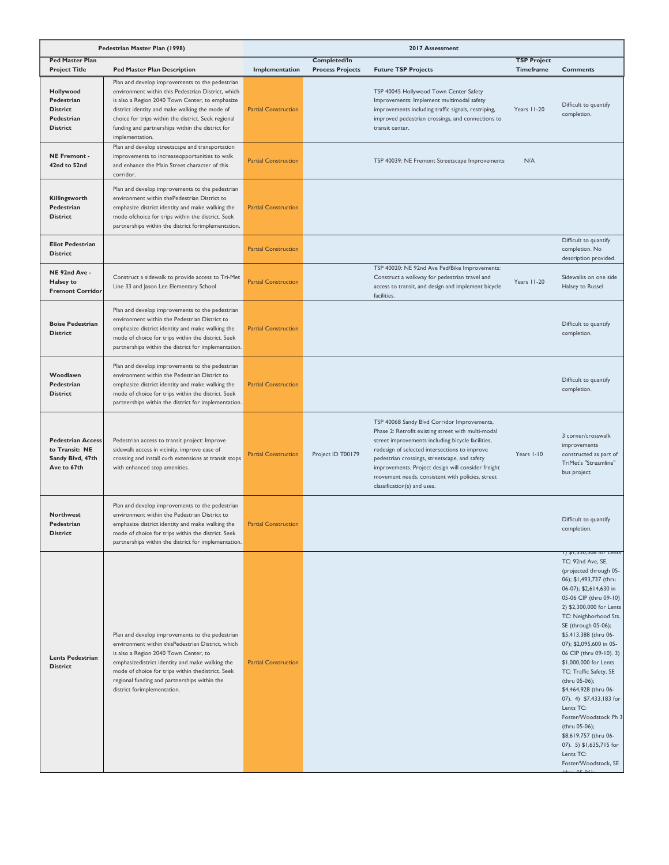|                                                                               | Pedestrian Master Plan (1998)                                                                                                                                                                                                                                                                                                            | 2017 Assessment             |                                                |                                                                                                                                                                                                                                                                                                                                                                                                   |                                 |                                                                                                                                                                                                                                                                                                                                                                                                                                                                                                                                                                                           |
|-------------------------------------------------------------------------------|------------------------------------------------------------------------------------------------------------------------------------------------------------------------------------------------------------------------------------------------------------------------------------------------------------------------------------------|-----------------------------|------------------------------------------------|---------------------------------------------------------------------------------------------------------------------------------------------------------------------------------------------------------------------------------------------------------------------------------------------------------------------------------------------------------------------------------------------------|---------------------------------|-------------------------------------------------------------------------------------------------------------------------------------------------------------------------------------------------------------------------------------------------------------------------------------------------------------------------------------------------------------------------------------------------------------------------------------------------------------------------------------------------------------------------------------------------------------------------------------------|
| <b>Ped Master Plan</b><br><b>Project Title</b>                                | <b>Ped Master Plan Description</b>                                                                                                                                                                                                                                                                                                       | Implementation              | <b>Completed/In</b><br><b>Process Projects</b> | <b>Future TSP Projects</b>                                                                                                                                                                                                                                                                                                                                                                        | <b>TSP Project</b><br>Timeframe | <b>Comments</b>                                                                                                                                                                                                                                                                                                                                                                                                                                                                                                                                                                           |
| Hollywood<br>Pedestrian<br><b>District</b><br>Pedestrian<br><b>District</b>   | Plan and develop improvements to the pedestrian<br>environment within this Pedestrian District, which<br>is also a Region 2040 Town Center, to emphasize<br>district identity and make walking the mode of<br>choice for trips within the district. Seek regional<br>funding and partnerships within the district for<br>implementation. | <b>Partial Construction</b> |                                                | TSP 40045 Hollywood Town Center Safety<br>Improvements: Implement multimodal safety<br>improvements including traffic signals, restriping,<br>improved pedestrian crossings, and connections to<br>transit center.                                                                                                                                                                                | Years 11-20                     | Difficult to quantify<br>completion.                                                                                                                                                                                                                                                                                                                                                                                                                                                                                                                                                      |
| <b>NE Fremont -</b><br>42nd to 52nd                                           | Plan and develop streetscape and transportation<br>improvements to increaseopportunities to walk<br>and enhance the Main Street character of this<br>corridor.                                                                                                                                                                           | <b>Partial Construction</b> |                                                | TSP 40039: NE Fremont Streetscape Improvements                                                                                                                                                                                                                                                                                                                                                    | N/A                             |                                                                                                                                                                                                                                                                                                                                                                                                                                                                                                                                                                                           |
| Killingsworth<br>Pedestrian<br><b>District</b>                                | Plan and develop improvements to the pedestrian<br>environment within thePedestrian District to<br>emphasize district identity and make walking the<br>mode ofchoice for trips within the district. Seek<br>partnerships within the district forimplementation.                                                                          | <b>Partial Construction</b> |                                                |                                                                                                                                                                                                                                                                                                                                                                                                   |                                 |                                                                                                                                                                                                                                                                                                                                                                                                                                                                                                                                                                                           |
| <b>Eliot Pedestrian</b><br><b>District</b>                                    |                                                                                                                                                                                                                                                                                                                                          | <b>Partial Construction</b> |                                                |                                                                                                                                                                                                                                                                                                                                                                                                   |                                 | Difficult to quantify<br>completion. No<br>description provided.                                                                                                                                                                                                                                                                                                                                                                                                                                                                                                                          |
| NE 92nd Ave -<br><b>Halsey to</b><br><b>Fremont Corridor</b>                  | Construct a sidewalk to provide access to Tri-Met<br>Line 33 and Jason Lee Elementary School                                                                                                                                                                                                                                             | <b>Partial Construction</b> |                                                | TSP 40020: NE 92nd Ave Ped/Bike Improvements:<br>Construct a walkway for pedestrian travel and<br>access to transit, and design and implement bicycle<br>facilities.                                                                                                                                                                                                                              | Years 11-20                     | Sidewalks on one side<br>Halsey to Russel                                                                                                                                                                                                                                                                                                                                                                                                                                                                                                                                                 |
| <b>Boise Pedestrian</b><br><b>District</b>                                    | Plan and develop improvements to the pedestrian<br>environment within the Pedestrian District to<br>emphasize district identity and make walking the<br>mode of choice for trips within the district. Seek<br>partnerships within the district for implementation.                                                                       | <b>Partial Construction</b> |                                                |                                                                                                                                                                                                                                                                                                                                                                                                   |                                 | Difficult to quantify<br>completion.                                                                                                                                                                                                                                                                                                                                                                                                                                                                                                                                                      |
| Woodlawn<br>Pedestrian<br><b>District</b>                                     | Plan and develop improvements to the pedestrian<br>environment within the Pedestrian District to<br>emphasize district identity and make walking the<br>mode of choice for trips within the district. Seek<br>partnerships within the district for implementation.                                                                       | <b>Partial Construction</b> |                                                |                                                                                                                                                                                                                                                                                                                                                                                                   |                                 | Difficult to quantify<br>completion.                                                                                                                                                                                                                                                                                                                                                                                                                                                                                                                                                      |
| <b>Pedestrian Access</b><br>to Transit: NE<br>Sandy Blvd, 47th<br>Ave to 67th | Pedestrian access to transit project: Improve<br>sidewalk access in vicinity, improve ease of<br>crossing and install curb extensions at transit stops<br>with enhanced stop amenities.                                                                                                                                                  | <b>Partial Construction</b> | Project ID T00179                              | TSP 40068 Sandy Blvd Corridor Improvements,<br>Phase 2: Retrofit existing street with multi-modal<br>street improvements including bicycle facilities,<br>redesign of selected intersections to improve<br>pedestrian crossings, streetscape, and safety<br>improvements. Project design will consider freight<br>movement needs, consistent with policies, street<br>classification(s) and uses. | Years I-10                      | 3 corner/crosswalk<br>improvements<br>constructed as part of<br>TriMet's "Streamline"<br>bus project                                                                                                                                                                                                                                                                                                                                                                                                                                                                                      |
| <b>Northwest</b><br>Pedestrian<br><b>District</b>                             | Plan and develop improvements to the pedestrian<br>environment within the Pedestrian District to<br>emphasize district identity and make walking the<br>mode of choice for trips within the district. Seek<br>partnerships within the district for implementation.                                                                       | <b>Partial Construction</b> |                                                |                                                                                                                                                                                                                                                                                                                                                                                                   |                                 | Difficult to quantify<br>completion.                                                                                                                                                                                                                                                                                                                                                                                                                                                                                                                                                      |
| <b>Lents Pedestrian</b><br><b>District</b>                                    | Plan and develop improvements to the pedestrian<br>environment within thisPedestrian District, which<br>is also a Region 2040 Town Center, to<br>emphasizedistrict identity and make walking the<br>mode of choice for trips within thedistrict. Seek<br>regional funding and partnerships within the<br>district forimplementation.     | <b>Partial Construction</b> |                                                |                                                                                                                                                                                                                                                                                                                                                                                                   |                                 | Ly \$1,330,300 TOT Lettes<br>TC: 92nd Ave, SE.<br>(projected through 05-<br>06); \$1,493,737 (thru<br>06-07); \$2,614,630 in<br>05-06 CIP (thru 09-10)<br>2) \$2,300,000 for Lents<br>TC: Neighborhood Sts.<br>SE (through 05-06);<br>\$5,413,388 (thru 06-<br>07); \$2,095,600 in 05-<br>06 CIP (thru 09-10). 3)<br>\$1,000,000 for Lents<br>TC: Traffic Safety, SE<br>(thru 05-06);<br>\$4,464,928 (thru 06-<br>07). 4) \$7,433,183 for<br>Lents TC:<br>Foster/Woodstock Ph 3<br>(thru 05-06);<br>\$8,619,757 (thru 06-<br>07). 5) \$1,635,715 for<br>Lents TC:<br>Foster/Woodstock, SE |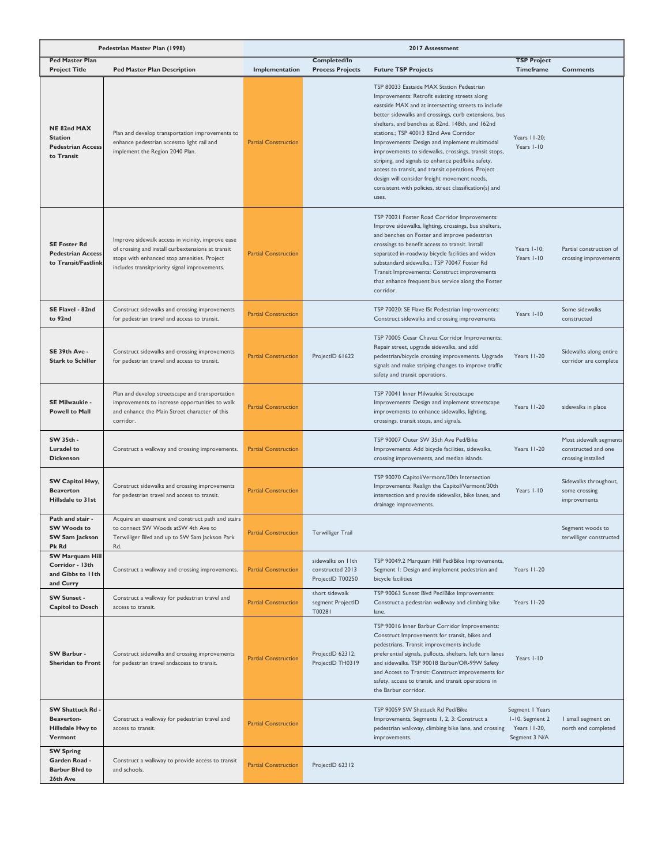|                                                                             | Pedestrian Master Plan (1998)                                                                                                                                                                          | 2017 Assessment             |                                                           |                                                                                                                                                                                                                                                                                                                                                                                                                                                                                                                                                                                                                                               |                                                                     |                                                                     |
|-----------------------------------------------------------------------------|--------------------------------------------------------------------------------------------------------------------------------------------------------------------------------------------------------|-----------------------------|-----------------------------------------------------------|-----------------------------------------------------------------------------------------------------------------------------------------------------------------------------------------------------------------------------------------------------------------------------------------------------------------------------------------------------------------------------------------------------------------------------------------------------------------------------------------------------------------------------------------------------------------------------------------------------------------------------------------------|---------------------------------------------------------------------|---------------------------------------------------------------------|
| <b>Ped Master Plan</b><br><b>Project Title</b>                              | <b>Ped Master Plan Description</b>                                                                                                                                                                     | Implementation              | <b>Completed/In</b><br><b>Process Projects</b>            | <b>Future TSP Projects</b>                                                                                                                                                                                                                                                                                                                                                                                                                                                                                                                                                                                                                    | <b>TSP Project</b><br>Timeframe                                     | <b>Comments</b>                                                     |
| NE 82nd MAX<br><b>Station</b><br><b>Pedestrian Access</b><br>to Transit     | Plan and develop transportation improvements to<br>enhance pedestrian accessto light rail and<br>implement the Region 2040 Plan.                                                                       | <b>Partial Construction</b> |                                                           | TSP 80033 Eastside MAX Station Pedestrian<br>Improvements: Retrofit existing streets along<br>eastside MAX and at intersecting streets to include<br>better sidewalks and crossings, curb extensions, bus<br>shelters, and benches at 82nd, 148th, and 162nd<br>stations.; TSP 40013 82nd Ave Corridor<br>Improvements: Design and implement multimodal<br>improvements to sidewalks, crossings, transit stops,<br>striping, and signals to enhance ped/bike safety,<br>access to transit, and transit operations. Project<br>design will consider freight movement needs,<br>consistent with policies, street classification(s) and<br>uses. | Years 11-20;<br>Years I-10                                          |                                                                     |
| <b>SE Foster Rd</b><br><b>Pedestrian Access</b><br>to Transit/Fastlink      | Improve sidewalk access in vicinity, improve ease<br>of crossing and install curbextensions at transit<br>stops with enhanced stop amenities. Project<br>includes transitpriority signal improvements. | <b>Partial Construction</b> |                                                           | TSP 70021 Foster Road Corridor Improvements:<br>Improve sidewalks, lighting, crossings, bus shelters,<br>and benches on Foster and improve pedestrian<br>crossings to benefit access to transit. Install<br>separated in-roadway bicycle facilities and widen<br>substandard sidewalks.; TSP 70047 Foster Rd<br>Transit Improvements: Construct improvements<br>that enhance frequent bus service along the Foster<br>corridor.                                                                                                                                                                                                               | Years I-10;<br>Years I-10                                           | Partial construction of<br>crossing improvements                    |
| SE Flavel - 82nd<br>to 92nd                                                 | Construct sidewalks and crossing improvements<br>for pedestrian travel and access to transit.                                                                                                          | <b>Partial Construction</b> |                                                           | TSP 70020: SE Flave ISt Pedestrian Improvements:<br>Construct sidewalks and crossing improvements                                                                                                                                                                                                                                                                                                                                                                                                                                                                                                                                             | Years I-10                                                          | Some sidewalks<br>constructed                                       |
| SE 39th Ave -<br><b>Stark to Schiller</b>                                   | Construct sidewalks and crossing improvements<br>for pedestrian travel and access to transit.                                                                                                          | <b>Partial Construction</b> | ProjectID 61622                                           | TSP 70005 Cesar Chavez Corridor Improvements:<br>Repair street, upgrade sidewalks, and add<br>pedestrian/bicycle crossing improvements. Upgrade<br>signals and make striping changes to improve traffic<br>safety and transit operations.                                                                                                                                                                                                                                                                                                                                                                                                     | Years 11-20                                                         | Sidewalks along entire<br>corridor are complete                     |
| SE Milwaukie -<br><b>Powell to Mall</b>                                     | Plan and develop streetscape and transportation<br>improvements to increase opportunities to walk<br>and enhance the Main Street character of this<br>corridor.                                        | <b>Partial Construction</b> |                                                           | TSP 70041 Inner Milwaukie Streetscape<br>Improvements: Design and implement streetscape<br>improvements to enhance sidewalks, lighting,<br>crossings, transit stops, and signals.                                                                                                                                                                                                                                                                                                                                                                                                                                                             | Years 11-20                                                         | sidewalks in place                                                  |
| SW 35th -<br><b>Luradel to</b><br><b>Dickenson</b>                          | Construct a walkway and crossing improvements.                                                                                                                                                         | <b>Partial Construction</b> |                                                           | TSP 90007 Outer SW 35th Ave Ped/Bike<br>Improvements: Add bicycle facilities, sidewalks,<br>crossing improvements, and median islands.                                                                                                                                                                                                                                                                                                                                                                                                                                                                                                        | Years 11-20                                                         | Most sidewalk segments<br>constructed and one<br>crossing installed |
| SW Capitol Hwy,<br><b>Beaverton</b><br>Hillsdale to 31st                    | Construct sidewalks and crossing improvements<br>for pedestrian travel and access to transit.                                                                                                          | <b>Partial Construction</b> |                                                           | TSP 90070 Capitol/Vermont/30th Intersection<br>Improvements: Realign the Capitol/Vermont/30th<br>intersection and provide sidewalks, bike lanes, and<br>drainage improvements.                                                                                                                                                                                                                                                                                                                                                                                                                                                                | Years I-10                                                          | Sidewalks throughout,<br>some crossing<br>improvements              |
| Path and stair -<br><b>SW Woods to</b><br>SW Sam Jackson<br>Pk Rd           | Acquire an easement and construct path and stairs<br>to connect SW Woods atSW 4th Ave to<br>Terwilliger Blvd and up to SW Sam Jackson Park<br>Rd.                                                      | <b>Partial Construction</b> | Terwilliger Trail                                         |                                                                                                                                                                                                                                                                                                                                                                                                                                                                                                                                                                                                                                               |                                                                     | Segment woods to<br>terwilliger constructed                         |
| <b>SW Marquam Hill</b><br>Corridor - 13th<br>and Gibbs to 11th<br>and Curry | Construct a walkway and crossing improvements.                                                                                                                                                         | <b>Partial Construction</b> | sidewalks on IIth<br>constructed 2013<br>ProjectID T00250 | TSP 90049.2 Marquam Hill Ped/Bike Improvements,<br>Segment I: Design and implement pedestrian and<br>bicycle facilities                                                                                                                                                                                                                                                                                                                                                                                                                                                                                                                       | Years 11-20                                                         |                                                                     |
| <b>SW Sunset -</b><br><b>Capitol to Dosch</b>                               | Construct a walkway for pedestrian travel and<br>access to transit.                                                                                                                                    | <b>Partial Construction</b> | short sidewalk<br>segment ProjectID<br>T00281             | TSP 90063 Sunset Blvd Ped/Bike Improvements:<br>Construct a pedestrian walkway and climbing bike<br>lane.                                                                                                                                                                                                                                                                                                                                                                                                                                                                                                                                     | Years 11-20                                                         |                                                                     |
| SW Barbur -<br><b>Sheridan to Front</b>                                     | Construct sidewalks and crossing improvements<br>for pedestrian travel andaccess to transit.                                                                                                           | <b>Partial Construction</b> | ProjectID 62312;<br>ProjectID TH0319                      | TSP 90016 Inner Barbur Corridor Improvements:<br>Construct Improvements for transit, bikes and<br>pedestrians. Transit improvements include<br>preferential signals, pullouts, shelters, left turn lanes<br>and sidewalks. TSP 90018 Barbur/OR-99W Safety<br>and Access to Transit: Construct improvements for<br>safety, access to transit, and transit operations in<br>the Barbur corridor.                                                                                                                                                                                                                                                | Years I-10                                                          |                                                                     |
| <b>SW Shattuck Rd</b><br>Beaverton-<br>Hillsdale Hwy to<br>Vermont          | Construct a walkway for pedestrian travel and<br>access to transit.                                                                                                                                    | <b>Partial Construction</b> |                                                           | TSP 90059 SW Shattuck Rd Ped/Bike<br>Improvements, Segments 1, 2, 3: Construct a<br>pedestrian walkway, climbing bike lane, and crossing<br>improvements.                                                                                                                                                                                                                                                                                                                                                                                                                                                                                     | Segment   Years<br>I-10, Segment 2<br>Years 11-20,<br>Segment 3 N/A | I small segment on<br>north end completed                           |
| <b>SW Spring</b><br>Garden Road -<br><b>Barbur Blvd to</b><br>26th Ave      | Construct a walkway to provide access to transit<br>and schools.                                                                                                                                       | <b>Partial Construction</b> | ProjectID 62312                                           |                                                                                                                                                                                                                                                                                                                                                                                                                                                                                                                                                                                                                                               |                                                                     |                                                                     |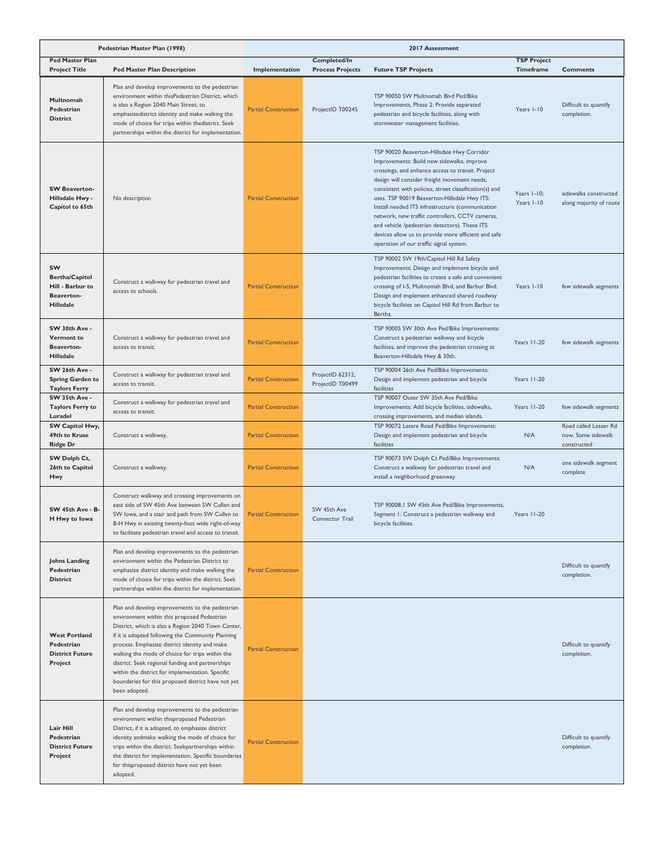|                                                                                          | Pedestrian Master Plan (1998)                                                                                                                                                                                                                                                                                                                                                                                                                                                                | 2017 Assessment             |                                         |                                                                                                                                                                                                                                                                                                                                                                                                                                                                                                                                                                   |                                 |                                                            |  |
|------------------------------------------------------------------------------------------|----------------------------------------------------------------------------------------------------------------------------------------------------------------------------------------------------------------------------------------------------------------------------------------------------------------------------------------------------------------------------------------------------------------------------------------------------------------------------------------------|-----------------------------|-----------------------------------------|-------------------------------------------------------------------------------------------------------------------------------------------------------------------------------------------------------------------------------------------------------------------------------------------------------------------------------------------------------------------------------------------------------------------------------------------------------------------------------------------------------------------------------------------------------------------|---------------------------------|------------------------------------------------------------|--|
| <b>Ped Master Plan</b><br><b>Project Title</b>                                           | <b>Ped Master Plan Description</b>                                                                                                                                                                                                                                                                                                                                                                                                                                                           | Implementation              | Completed/In<br><b>Process Projects</b> | <b>Future TSP Projects</b>                                                                                                                                                                                                                                                                                                                                                                                                                                                                                                                                        | <b>TSP Project</b><br>Timeframe | <b>Comments</b>                                            |  |
| Multnomah<br>Pedestrian<br><b>District</b>                                               | Plan and develop improvements to the pedestrian<br>environment within thisPedestrian District, which<br>is also a Region 2040 Main Street, to<br>emphasizedistrict identity and make walking the<br>mode of choice for trips within thedistrict. Seek<br>partnerships within the district for implementation.                                                                                                                                                                                | <b>Partial Construction</b> | ProjectID T00245                        | TSP 90050 SW Multnomah Blvd Ped/Bike<br>Improvements, Phase 2: Provide separated<br>pedestrian and bicycle facilities, along with<br>stormwater management facilities.                                                                                                                                                                                                                                                                                                                                                                                            | Years I-10                      | Difficult to quantify<br>completion.                       |  |
| <b>SW Beaverton-</b><br>Hillsdale Hwy -<br>Capitol to 65th                               | No description                                                                                                                                                                                                                                                                                                                                                                                                                                                                               | <b>Partial Construction</b> |                                         | TSP 90020 Beaverton-Hillsdale Hwy Corridor<br>Improvements: Build new sidewalks, improve<br>crossings, and enhance access to transit. Project<br>design will consider freight movement needs,<br>consistent with policies, street classification(s) and<br>uses. TSP 90019 Beaverton-Hillsdale Hwy ITS:<br>Install needed ITS infrastructure (communication<br>network, new traffic controllers, CCTV cameras,<br>and vehicle /pedestrian detectors). These ITS<br>devices allow us to provide more efficient and safe<br>operation of our traffic signal system. | Years I-10;<br>Years I-10       | sidewalks constructed<br>along majority of route           |  |
| SW<br><b>Bertha/Capitol</b><br>Hill - Barbur to<br><b>Beaverton-</b><br><b>Hillsdale</b> | Construct a walkway for pedestrian travel and<br>access to schools.                                                                                                                                                                                                                                                                                                                                                                                                                          | <b>Partial Construction</b> |                                         | TSP 90002 SW 19th/Capitol Hill Rd Safety<br>Improvements: Design and implement bicycle and<br>pedestrian facilities to create a safe and convenient<br>crossing of I-5, Multnomah Blvd, and Barbur Blvd.<br>Design and implement enhanced shared roadway<br>bicycle facilities on Capitol Hill Rd from Barbur to<br>Bertha.                                                                                                                                                                                                                                       | Years I-10                      | few sidewalk segments                                      |  |
| SW 30th Ave -<br><b>Vermont to</b><br><b>Beaverton-</b><br><b>Hillsdale</b>              | Construct a walkway for pedestrian travel and<br>access to transit.                                                                                                                                                                                                                                                                                                                                                                                                                          | <b>Partial Construction</b> |                                         | TSP 90005 SW 30th Ave Ped/Bike Improvements:<br>Construct a pedestrian walkway and bicycle<br>facilities, and improve the pedestrian crossing at<br>Beaverton-Hillsdale Hwy & 30th.                                                                                                                                                                                                                                                                                                                                                                               | Years 11-20                     | few sidewalk segments                                      |  |
| SW 26th Ave -<br><b>Spring Garden to</b><br><b>Taylors Ferry</b>                         | Construct a walkway for pedestrian travel and<br>access to transit.                                                                                                                                                                                                                                                                                                                                                                                                                          | <b>Partial Construction</b> | ProjectID 62312;<br>ProjectID T00499    | TSP 90004 26th Ave Ped/Bike Improvements:<br>Design and implement pedestrian and bicycle<br>facilities                                                                                                                                                                                                                                                                                                                                                                                                                                                            | Years 11-20                     |                                                            |  |
| SW 35th Ave -<br><b>Taylors Ferry to</b><br>Luradel                                      | Construct a walkway for pedestrian travel and<br>access to transit.                                                                                                                                                                                                                                                                                                                                                                                                                          | <b>Partial Construction</b> |                                         | TSP 90007 Outer SW 35th Ave Ped/Bike<br>Improvements: Add bicycle facilities, sidewalks,<br>crossing improvements, and median islands.                                                                                                                                                                                                                                                                                                                                                                                                                            | Years 11-20                     | few sidewalk segments                                      |  |
| SW Capitol Hwy,<br>49th to Kruse<br><b>Ridge Dr</b>                                      | Construct a walkway.                                                                                                                                                                                                                                                                                                                                                                                                                                                                         | <b>Partial Construction</b> |                                         | TSP 90072 Lessre Road Ped/Bike Improvements:<br>Design and implement pedestrian and bicycle<br>facilities                                                                                                                                                                                                                                                                                                                                                                                                                                                         | N/A                             | Road called Lesser Rd<br>now. Some sidewalk<br>constructed |  |
| SW Dolph Ct,<br>26th to Capitol<br>Hwy                                                   | Construct a walkway.                                                                                                                                                                                                                                                                                                                                                                                                                                                                         | <b>Partial Construction</b> |                                         | TSP 90073 SW Dolph Ct Ped/Bike Improvements:<br>Construct a walkway for pedestrian travel and<br>install a neighborhood greenway                                                                                                                                                                                                                                                                                                                                                                                                                                  | N/A                             | one sidewalk segment<br>complete                           |  |
| SW 45th Ave - B-<br>H Hwy to Iowa                                                        | Construct walkway and crossing improvements on<br>east side of SW 45th Ave between SW Cullen and<br>SW Iowa, and a stair and path from SW Cullen to<br>B-H Hwy in existing twenty-foot wide right-of-way<br>to facilitate pedestrian travel and access to transit.                                                                                                                                                                                                                           | <b>Partial Construction</b> | SW 45th Ave<br>Connector Trail          | TSP 90008.1 SW 45th Ave Ped/Bike Improvements,<br>Segment 1: Construct a pedestrian walkway and<br>bicycle facilities.                                                                                                                                                                                                                                                                                                                                                                                                                                            | Years 11-20                     |                                                            |  |
| <b>Johns Landing</b><br>Pedestrian<br><b>District</b>                                    | Plan and develop improvements to the pedestrian<br>environment within the Pedestrian District to<br>emphasize district identity and make walking the<br>mode of choice for trips within the district. Seek<br>partnerships within the district for implementation.                                                                                                                                                                                                                           | <b>Partial Construction</b> |                                         |                                                                                                                                                                                                                                                                                                                                                                                                                                                                                                                                                                   |                                 | Difficult to quantify<br>completion.                       |  |
| <b>West Portland</b><br>Pedestrian<br><b>District Future</b><br>Project                  | Plan and develop improvements to the pedestrian<br>environment within this proposed Pedestrian<br>District, which is also a Region 2040 Town Center,<br>if it is adopted following the Community Planning<br>process. Emphasize district identity and make<br>walking the mode of choice for trips within the<br>district. Seek regional funding and partnerships<br>within the district for implementation. Specific<br>boundaries for this proposed district have not yet<br>been adopted. | <b>Partial Construction</b> |                                         |                                                                                                                                                                                                                                                                                                                                                                                                                                                                                                                                                                   |                                 | Difficult to quantify<br>completion.                       |  |
| Lair Hill<br>Pedestrian<br><b>District Future</b><br>Project                             | Plan and develop improvements to the pedestrian<br>environment within thisproposed Pedestrian<br>District, if it is adopted, to emphasize district<br>identity andmake walking the mode of choice for<br>trips within the district. Seekpartnerships within<br>the district for implementation. Specific boundaries<br>for thisproposed district have not yet been<br>adopted.                                                                                                               | <b>Partial Construction</b> |                                         |                                                                                                                                                                                                                                                                                                                                                                                                                                                                                                                                                                   |                                 | Difficult to quantify<br>completion.                       |  |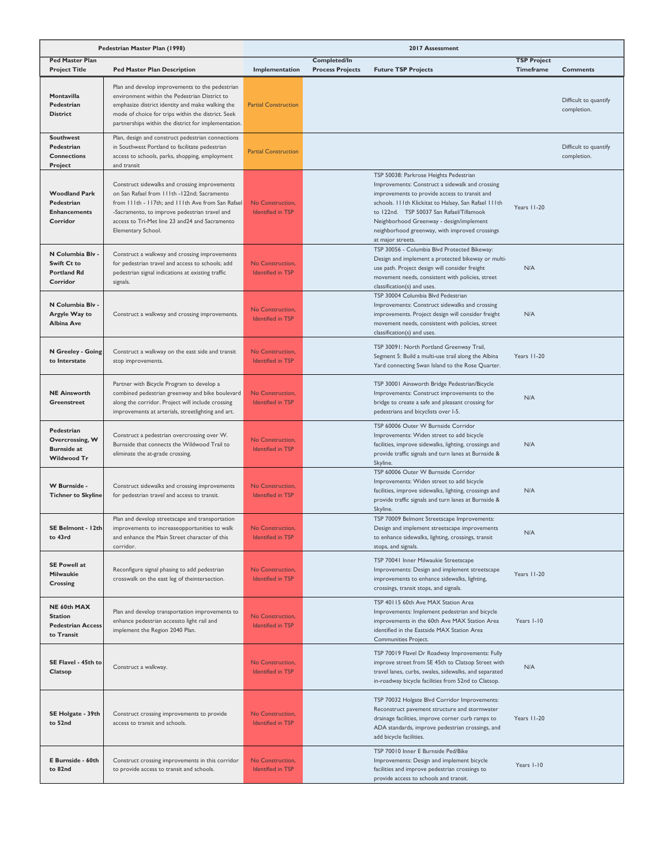| Pedestrian Master Plan (1998)                                             |                                                                                                                                                                                                                                                                             |                                              | 2017 Assessment                         |                                                                                                                                                                                                                                                                                                                                                                       |                                        |                                      |
|---------------------------------------------------------------------------|-----------------------------------------------------------------------------------------------------------------------------------------------------------------------------------------------------------------------------------------------------------------------------|----------------------------------------------|-----------------------------------------|-----------------------------------------------------------------------------------------------------------------------------------------------------------------------------------------------------------------------------------------------------------------------------------------------------------------------------------------------------------------------|----------------------------------------|--------------------------------------|
| <b>Ped Master Plan</b><br><b>Project Title</b>                            | <b>Ped Master Plan Description</b>                                                                                                                                                                                                                                          | Implementation                               | Completed/In<br><b>Process Projects</b> | <b>Future TSP Projects</b>                                                                                                                                                                                                                                                                                                                                            | <b>TSP Project</b><br><b>Timeframe</b> | <b>Comments</b>                      |
| Montavilla<br>Pedestrian<br><b>District</b>                               | Plan and develop improvements to the pedestrian<br>environment within the Pedestrian District to<br>emphasize district identity and make walking the<br>mode of choice for trips within the district. Seek<br>partnerships within the district for implementation.          | <b>Partial Construction</b>                  |                                         |                                                                                                                                                                                                                                                                                                                                                                       |                                        | Difficult to quantify<br>completion. |
| <b>Southwest</b><br>Pedestrian<br><b>Connections</b><br>Project           | Plan, design and construct pedestrian connections<br>in Southwest Portland to facilitate pedestrian<br>access to schools, parks, shopping, employment<br>and transit                                                                                                        | <b>Partial Construction</b>                  |                                         |                                                                                                                                                                                                                                                                                                                                                                       |                                        | Difficult to quantify<br>completion. |
| <b>Woodland Park</b><br>Pedestrian<br><b>Enhancements</b><br>Corridor     | Construct sidewalks and crossing improvements<br>on San Rafael from 111th -122nd: Sacramento<br>from 111th - 117th; and 111th Ave from San Rafael<br>-Sacramento, to improve pedestrian travel and<br>access to Tri-Met line 23 and 24 and Sacramento<br>Elementary School. | No Construction,<br><b>Identified in TSP</b> |                                         | TSP 50038: Parkrose Heights Pedestrian<br>Improvements: Construct a sidewalk and crossing<br>improvements to provide access to transit and<br>schools. I I Ith Klickitat to Halsey, San Rafael I I Ith<br>to 122nd. TSP 50037 San Rafael/Tillamook<br>Neighborhood Greenway - design/implement<br>neighborhood greenway, with improved crossings<br>at major streets. | Years 11-20                            |                                      |
| N Columbia Blv<br>Swift Ct to<br><b>Portland Rd</b><br>Corridor           | Construct a walkway and crossing improvements<br>for pedestrian travel and access to schools; add<br>pedestrian signal indications at existing traffic<br>signals.                                                                                                          | No Construction,<br><b>Identified in TSP</b> |                                         | TSP 30056 - Columbia Blvd Protected Bikeway:<br>Design and implement a protected bikeway or multi-<br>use path. Project design will consider freight<br>movement needs, consistent with policies, street<br>classification(s) and uses.                                                                                                                               | N/A                                    |                                      |
| N Columbia Blv -<br>Argyle Way to<br><b>Albina Ave</b>                    | Construct a walkway and crossing improvements.                                                                                                                                                                                                                              | No Construction,<br><b>Identified in TSP</b> |                                         | TSP 30004 Columbia Blvd Pedestrian<br>Improvements: Construct sidewalks and crossing<br>improvements. Project design will consider freight<br>movement needs, consistent with policies, street<br>classification(s) and uses.                                                                                                                                         | N/A                                    |                                      |
| N Greeley - Going<br>to Interstate                                        | Construct a walkway on the east side and transit<br>stop improvements.                                                                                                                                                                                                      | No Construction,<br><b>Identified in TSP</b> |                                         | TSP 30091: North Portland Greenway Trail,<br>Segment 5: Build a multi-use trail along the Albina<br>Yard connecting Swan Island to the Rose Quarter.                                                                                                                                                                                                                  | Years 11-20                            |                                      |
| <b>NE Ainsworth</b><br>Greenstreet                                        | Partner with Bicycle Program to develop a<br>combined pedestrian greenway and bike boulevard<br>along the corridor. Project will include crossing<br>improvements at arterials, streetlighting and art.                                                                     | No Construction,<br><b>Identified in TSP</b> |                                         | TSP 30001 Ainsworth Bridge Pedestrian/Bicycle<br>Improvements: Construct improvements to the<br>bridge to create a safe and pleasant crossing for<br>pedestrians and bicyclists over I-5.                                                                                                                                                                             | N/A                                    |                                      |
| Pedestrian<br>Overcrossing, W<br><b>Burnside at</b><br><b>Wildwood Tr</b> | Construct a pedestrian overcrossing over W.<br>Burnside that connects the Wildwood Trail to<br>eliminate the at-grade crossing.                                                                                                                                             | No Construction,<br><b>Identified in TSP</b> |                                         | TSP 60006 Outer W Burnside Corridor<br>Improvements: Widen street to add bicycle<br>facilities, improve sidewalks, lighting, crossings and<br>provide traffic signals and turn lanes at Burnside &<br>Skyline.                                                                                                                                                        | N/A                                    |                                      |
| W Burnside -<br><b>Tichner to Skyline</b>                                 | Construct sidewalks and crossing improvements<br>for pedestrian travel and access to transit.                                                                                                                                                                               | No Construction,<br><b>Identified in TSP</b> |                                         | TSP 60006 Outer W Burnside Corridor<br>Improvements: Widen street to add bicycle<br>facilities, improve sidewalks, lighting, crossings and<br>provide traffic signals and turn lanes at Burnside &<br>Skyline.                                                                                                                                                        | N/A                                    |                                      |
| SE Belmont - 12th<br>to 43rd                                              | Plan and develop streetscape and transportation<br>improvements to increaseopportunities to walk<br>and enhance the Main Street character of this<br>corridor.                                                                                                              | No Construction,<br><b>Identified in TSP</b> |                                         | TSP 70009 Belmont Streetscape Improvements:<br>Design and implement streetscape improvements<br>to enhance sidewalks, lighting, crossings, transit<br>stops, and signals.                                                                                                                                                                                             | N/A                                    |                                      |
| <b>SE Powell at</b><br>Milwaukie<br>Crossing                              | Reconfigure signal phasing to add pedestrian<br>crosswalk on the east leg of theintersection.                                                                                                                                                                               | No Construction,<br><b>Identified in TSP</b> |                                         | TSP 70041 Inner Milwaukie Streetscape<br>Improvements: Design and implement streetscape<br>improvements to enhance sidewalks, lighting,<br>crossings, transit stops, and signals.                                                                                                                                                                                     | Years 11-20                            |                                      |
| NE 60th MAX<br><b>Station</b><br><b>Pedestrian Access</b><br>to Transit   | Plan and develop transportation improvements to<br>enhance pedestrian accessto light rail and<br>implement the Region 2040 Plan.                                                                                                                                            | No Construction,<br>Identified in TSP        |                                         | TSP 40115 60th Ave MAX Station Area<br>Improvements: Implement pedestrian and bicycle<br>improvements in the 60th Ave MAX Station Area<br>identified in the Eastside MAX Station Area<br>Communities Project.                                                                                                                                                         | Years I-10                             |                                      |
| SE Flavel - 45th to<br>Clatsop                                            | Construct a walkway.                                                                                                                                                                                                                                                        | No Construction,<br><b>Identified in TSP</b> |                                         | TSP 70019 Flavel Dr Roadway Improvements: Fully<br>improve street from SE 45th to Clatsop Street with<br>travel lanes, curbs, swales, sidewalks, and separated<br>in-roadway bicycle facilities from 52nd to Clatsop.                                                                                                                                                 | N/A                                    |                                      |
| SE Holgate - 39th<br>to 52nd                                              | Construct crossing improvements to provide<br>access to transit and schools.                                                                                                                                                                                                | No Construction,<br><b>Identified in TSP</b> |                                         | TSP 70032 Holgate Blvd Corridor Improvements:<br>Reconstruct pavement structure and stormwater<br>drainage facilities, improve corner curb ramps to<br>ADA standards, improve pedestrian crossings, and<br>add bicycle facilities.                                                                                                                                    | Years 11-20                            |                                      |
| E Burnside - 60th<br>to 82nd                                              | Construct crossing improvements in this corridor<br>to provide access to transit and schools.                                                                                                                                                                               | No Construction,<br><b>Identified in TSP</b> |                                         | TSP 70010 Inner E Burnside Ped/Bike<br>Improvements: Design and implement bicycle<br>facilities and improve pedestrian crossings to<br>provide access to schools and transit.                                                                                                                                                                                         | Years I-10                             |                                      |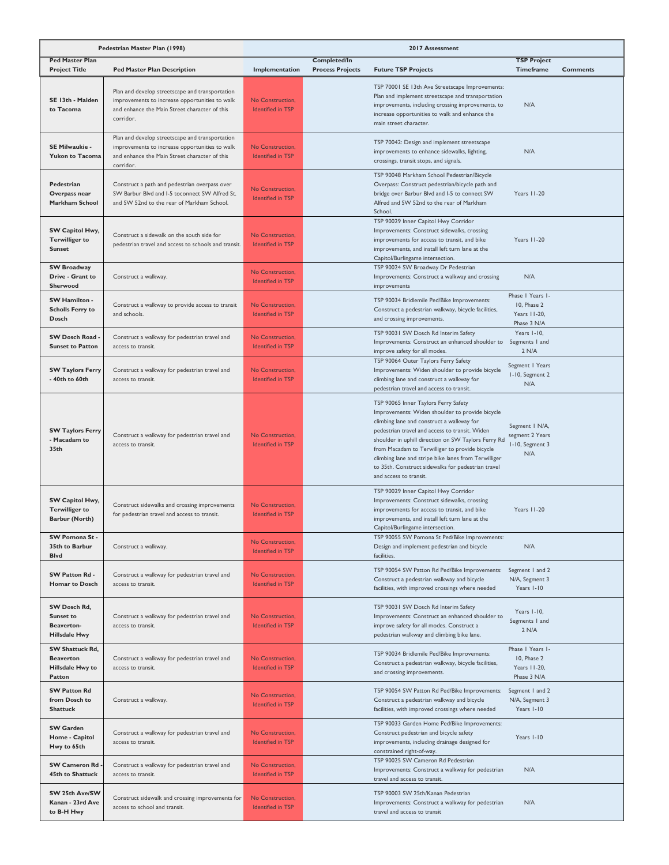| Pedestrian Master Plan (1998)                                            |                                                                                                                                                                 | 2017 Assessment                              |                                         |                                                                                                                                                                                                                                                                                                                                                                                                                                         |                                                                |                 |
|--------------------------------------------------------------------------|-----------------------------------------------------------------------------------------------------------------------------------------------------------------|----------------------------------------------|-----------------------------------------|-----------------------------------------------------------------------------------------------------------------------------------------------------------------------------------------------------------------------------------------------------------------------------------------------------------------------------------------------------------------------------------------------------------------------------------------|----------------------------------------------------------------|-----------------|
| <b>Ped Master Plan</b><br><b>Project Title</b>                           | <b>Ped Master Plan Description</b>                                                                                                                              | Implementation                               | Completed/In<br><b>Process Projects</b> | <b>Future TSP Projects</b>                                                                                                                                                                                                                                                                                                                                                                                                              | <b>TSP Project</b><br>Timeframe                                | <b>Comments</b> |
| SE 13th - Malden<br>to Tacoma                                            | Plan and develop streetscape and transportation<br>improvements to increase opportunities to walk<br>and enhance the Main Street character of this<br>corridor. | No Construction.<br><b>Identified in TSP</b> |                                         | TSP 70001 SE 13th Ave Streetscape Improvements:<br>Plan and implement streetscape and transportation<br>improvements, including crossing improvements, to<br>increase opportunities to walk and enhance the<br>main street character.                                                                                                                                                                                                   | N/A                                                            |                 |
| SE Milwaukie -<br><b>Yukon to Tacoma</b>                                 | Plan and develop streetscape and transportation<br>improvements to increase opportunities to walk<br>and enhance the Main Street character of this<br>corridor. | No Construction,<br><b>Identified in TSP</b> |                                         | TSP 70042: Design and implement streetscape<br>improvements to enhance sidewalks, lighting,<br>crossings, transit stops, and signals.                                                                                                                                                                                                                                                                                                   | N/A                                                            |                 |
| Pedestrian<br>Overpass near<br>Markham School                            | Construct a path and pedestrian overpass over<br>SW Barbur Blvd and I-5 toconnect SW Alfred St.<br>and SW 52nd to the rear of Markham School.                   | No Construction.<br><b>Identified in TSP</b> |                                         | TSP 90048 Markham School Pedestrian/Bicycle<br>Overpass: Construct pedestrian/bicycle path and<br>bridge over Barbur Blvd and I-5 to connect SW<br>Alfred and SW 52nd to the rear of Markham<br>School.                                                                                                                                                                                                                                 | Years II-20                                                    |                 |
| SW Capitol Hwy,<br><b>Terwilliger to</b><br><b>Sunset</b>                | Construct a sidewalk on the south side for<br>pedestrian travel and access to schools and transit.                                                              | No Construction,<br><b>Identified in TSP</b> |                                         | TSP 90029 Inner Capitol Hwy Corridor<br>Improvements: Construct sidewalks, crossing<br>improvements for access to transit, and bike<br>improvements, and install left turn lane at the<br>Capitol/Burlingame intersection.                                                                                                                                                                                                              | Years 11-20                                                    |                 |
| <b>SW Broadway</b><br>Drive - Grant to<br><b>Sherwood</b>                | Construct a walkway.                                                                                                                                            | No Construction,<br><b>Identified in TSP</b> |                                         | TSP 90024 SW Broadway Dr Pedestrian<br>Improvements: Construct a walkway and crossing<br>improvements                                                                                                                                                                                                                                                                                                                                   | N/A                                                            |                 |
| <b>SW Hamilton -</b><br><b>Scholls Ferry to</b><br>Dosch                 | Construct a walkway to provide access to transit<br>and schools.                                                                                                | No Construction,<br><b>Identified in TSP</b> |                                         | TSP 90034 Bridlemile Ped/Bike Improvements:<br>Construct a pedestrian walkway, bicycle facilities,<br>and crossing improvements.                                                                                                                                                                                                                                                                                                        | Phase I Years I-<br>10, Phase 2<br>Years 11-20,<br>Phase 3 N/A |                 |
| SW Dosch Road -<br><b>Sunset to Patton</b>                               | Construct a walkway for pedestrian travel and<br>access to transit.                                                                                             | No Construction,<br><b>Identified in TSP</b> |                                         | TSP 90031 SW Dosch Rd Interim Safety<br>Improvements: Construct an enhanced shoulder to<br>improve safety for all modes.                                                                                                                                                                                                                                                                                                                | Years I-10,<br>Segments I and<br>2 N/A                         |                 |
| <b>SW Taylors Ferry</b><br>- 40th to 60th                                | Construct a walkway for pedestrian travel and<br>access to transit.                                                                                             | No Construction,<br><b>Identified in TSP</b> |                                         | TSP 90064 Outer Taylors Ferry Safety<br>Improvements: Widen shoulder to provide bicycle<br>climbing lane and construct a walkway for<br>pedestrian travel and access to transit.                                                                                                                                                                                                                                                        | Segment   Years<br>I-10, Segment 2<br>N/A                      |                 |
| <b>SW Taylors Ferry</b><br>- Macadam to<br>35th                          | Construct a walkway for pedestrian travel and<br>access to transit.                                                                                             | No Construction,<br><b>Identified in TSP</b> |                                         | TSP 90065 Inner Taylors Ferry Safety<br>Improvements: Widen shoulder to provide bicycle<br>climbing lane and construct a walkway for<br>pedestrian travel and access to transit. Widen<br>shoulder in uphill direction on SW Taylors Ferry Rd<br>from Macadam to Terwilliger to provide bicycle<br>climbing lane and stripe bike lanes from Terwilliger<br>to 35th. Construct sidewalks for pedestrian travel<br>and access to transit. | Segment I N/A,<br>segment 2 Years<br>I-10, Segment 3<br>N/A    |                 |
| SW Capitol Hwy,<br><b>Terwilliger to</b><br><b>Barbur (North)</b>        | Construct sidewalks and crossing improvements<br>for pedestrian travel and access to transit.                                                                   | No Construction,<br><b>Identified in TSP</b> |                                         | TSP 90029 Inner Capitol Hwy Corridor<br>Improvements: Construct sidewalks, crossing<br>improvements for access to transit, and bike<br>improvements, and install left turn lane at the<br>Capitol/Burlingame intersection.                                                                                                                                                                                                              | Years 11-20                                                    |                 |
| SW Pomona St -<br>35th to Barbur<br>Blvd                                 | Construct a walkway.                                                                                                                                            | No Construction,<br><b>Identified in TSP</b> |                                         | TSP 90055 SW Pomona St Ped/Bike Improvements:<br>Design and implement pedestrian and bicycle<br>facilities.                                                                                                                                                                                                                                                                                                                             | N/A                                                            |                 |
| SW Patton Rd -<br><b>Homar to Dosch</b>                                  | Construct a walkway for pedestrian travel and<br>access to transit.                                                                                             | No Construction,<br><b>Identified in TSP</b> |                                         | TSP 90054 SW Patton Rd Ped/Bike Improvements:<br>Construct a pedestrian walkway and bicycle<br>facilities, with improved crossings where needed                                                                                                                                                                                                                                                                                         | Segment I and 2<br>N/A, Segment 3<br>Years I-10                |                 |
| SW Dosch Rd.<br><b>Sunset to</b><br>Beaverton-<br><b>Hillsdale Hwy</b>   | Construct a walkway for pedestrian travel and<br>access to transit.                                                                                             | No Construction,<br><b>Identified in TSP</b> |                                         | TSP 90031 SW Dosch Rd Interim Safety<br>Improvements: Construct an enhanced shoulder to<br>improve safety for all modes. Construct a<br>pedestrian walkway and climbing bike lane.                                                                                                                                                                                                                                                      | Years I-10,<br>Segments I and<br>2 N/A                         |                 |
| <b>SW Shattuck Rd.</b><br><b>Beaverton</b><br>Hillsdale Hwy to<br>Patton | Construct a walkway for pedestrian travel and<br>access to transit.                                                                                             | No Construction.<br><b>Identified in TSP</b> |                                         | TSP 90034 Bridlemile Ped/Bike Improvements:<br>Construct a pedestrian walkway, bicycle facilities,<br>and crossing improvements.                                                                                                                                                                                                                                                                                                        | Phase I Years I-<br>10, Phase 2<br>Years 11-20,<br>Phase 3 N/A |                 |
| <b>SW Patton Rd</b><br>from Dosch to<br><b>Shattuck</b>                  | Construct a walkway.                                                                                                                                            | No Construction,<br>Identified in TSP        |                                         | TSP 90054 SW Patton Rd Ped/Bike Improvements:<br>Construct a pedestrian walkway and bicycle<br>facilities, with improved crossings where needed                                                                                                                                                                                                                                                                                         | Segment I and 2<br>N/A, Segment 3<br>Years I-10                |                 |
| <b>SW Garden</b><br>Home - Capitol<br>Hwy to 65th                        | Construct a walkway for pedestrian travel and<br>access to transit.                                                                                             | No Construction,<br>Identified in TSP        |                                         | TSP 90033 Garden Home Ped/Bike Improvements:<br>Construct pedestrian and bicycle safety<br>improvements, including drainage designed for<br>constrained right-of-way.                                                                                                                                                                                                                                                                   | Years I-10                                                     |                 |
| <b>SW Cameron Rd</b><br><b>45th to Shattuck</b>                          | Construct a walkway for pedestrian travel and<br>access to transit.                                                                                             | No Construction,<br><b>Identified in TSP</b> |                                         | TSP 90025 SW Cameron Rd Pedestrian<br>Improvements: Construct a walkway for pedestrian<br>travel and access to transit.                                                                                                                                                                                                                                                                                                                 | N/A                                                            |                 |
| SW 25th Ave/SW<br>Kanan - 23rd Ave<br>to B-H Hwy                         | Construct sidewalk and crossing improvements for<br>access to school and transit.                                                                               | No Construction,<br><b>Identified in TSP</b> |                                         | TSP 90003 SW 25th/Kanan Pedestrian<br>Improvements: Construct a walkway for pedestrian<br>travel and access to transit                                                                                                                                                                                                                                                                                                                  | N/A                                                            |                 |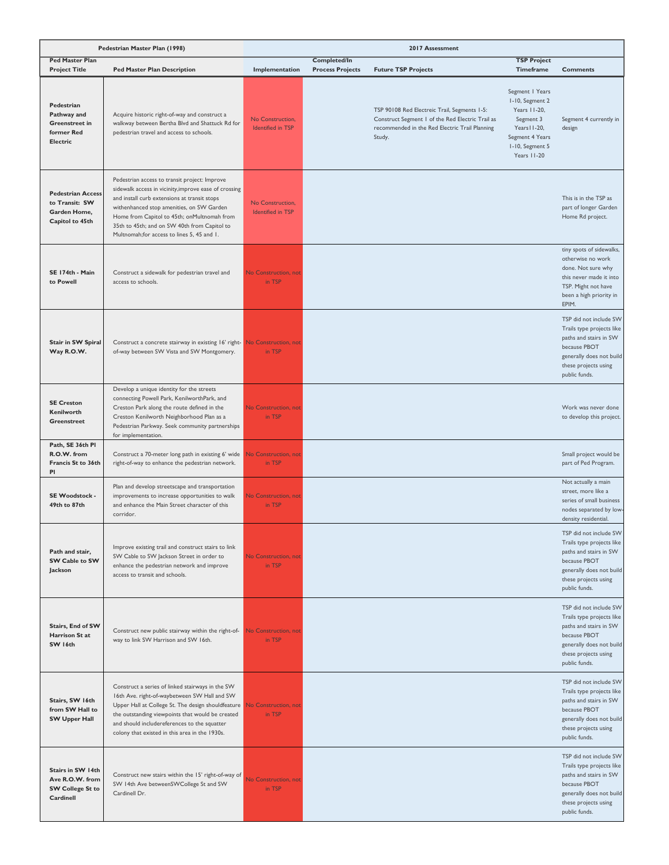|                                                                               | Pedestrian Master Plan (1998)                                                                                                                                                                                                                                                                                                                     |                                       |                                         | 2017 Assessment                                                                                                                                              |                                                                                                                                      |                                                                                                                                                                    |
|-------------------------------------------------------------------------------|---------------------------------------------------------------------------------------------------------------------------------------------------------------------------------------------------------------------------------------------------------------------------------------------------------------------------------------------------|---------------------------------------|-----------------------------------------|--------------------------------------------------------------------------------------------------------------------------------------------------------------|--------------------------------------------------------------------------------------------------------------------------------------|--------------------------------------------------------------------------------------------------------------------------------------------------------------------|
| <b>Ped Master Plan</b><br><b>Project Title</b>                                | <b>Ped Master Plan Description</b>                                                                                                                                                                                                                                                                                                                | Implementation                        | Completed/In<br><b>Process Projects</b> | <b>Future TSP Projects</b>                                                                                                                                   | <b>TSP Project</b><br><b>Timeframe</b>                                                                                               | <b>Comments</b>                                                                                                                                                    |
| Pedestrian<br>Pathway and<br>Greenstreet in<br>former Red<br><b>Electric</b>  | Acquire historic right-of-way and construct a<br>walkway between Bertha Blvd and Shattuck Rd for<br>pedestrian travel and access to schools.                                                                                                                                                                                                      | No Construction,<br>Identified in TSP |                                         | TSP 90108 Red Electreic Trail, Segments 1-5:<br>Construct Segment 1 of the Red Electric Trail as<br>recommended in the Red Electric Trail Planning<br>Study. | Segment   Years<br>I-10, Segment 2<br>Years 11-20,<br>Segment 3<br>Years II-20,<br>Segment 4 Years<br>I-10, Segment 5<br>Years 11-20 | Segment 4 currently in<br>design                                                                                                                                   |
| <b>Pedestrian Access</b><br>to Transit: SW<br>Garden Home,<br>Capitol to 45th | Pedestrian access to transit project: Improve<br>sidewalk access in vicinity, improve ease of crossing<br>and install curb extensions at transit stops<br>withenhanced stop amenities, on SW Garden<br>Home from Capitol to 45th; onMultnomah from<br>35th to 45th; and on SW 40th from Capitol to<br>Multnomah; for access to lines 5, 45 and 1. | No Construction,<br>Identified in TSP |                                         |                                                                                                                                                              |                                                                                                                                      | This is in the TSP as<br>part of longer Garden<br>Home Rd project.                                                                                                 |
| SE 174th - Main<br>to Powell                                                  | Construct a sidewalk for pedestrian travel and<br>access to schools.                                                                                                                                                                                                                                                                              | <b>No Construction, not</b><br>in TSP |                                         |                                                                                                                                                              |                                                                                                                                      | tiny spots of sidewalks,<br>otherwise no work<br>done. Not sure why<br>this never made it into<br>TSP. Might not have<br>been a high priority in<br>EPIM.          |
| Stair in SW Spiral<br>Way R.O.W.                                              | Construct a concrete stairway in existing 16' right- No Construction, not<br>of-way between SW Vista and SW Montgomery.                                                                                                                                                                                                                           | in TSP                                |                                         |                                                                                                                                                              |                                                                                                                                      | TSP did not include SW<br>Trails type projects like<br>paths and stairs in SW<br>because PBOT<br>generally does not build<br>these projects using<br>public funds. |
| <b>SE Creston</b><br>Kenilworth<br>Greenstreet                                | Develop a unique identity for the streets<br>connecting Powell Park, KenilworthPark, and<br>Creston Park along the route defined in the<br>Creston Kenilworth Neighborhood Plan as a<br>Pedestrian Parkway. Seek community partnerships<br>for implementation.                                                                                    | No Construction, not<br>in TSP        |                                         |                                                                                                                                                              |                                                                                                                                      | Work was never done<br>to develop this project.                                                                                                                    |
| Path, SE 36th PI<br>R.O.W. from<br>Francis St to 36th<br>PI                   | Construct a 70-meter long path in existing 6' wide<br>right-of-way to enhance the pedestrian network.                                                                                                                                                                                                                                             | <b>No Construction, not</b><br>in TSP |                                         |                                                                                                                                                              |                                                                                                                                      | Small project would be<br>part of Ped Program.                                                                                                                     |
| SE Woodstock -<br>49th to 87th                                                | Plan and develop streetscape and transportation<br>improvements to increase opportunities to walk<br>and enhance the Main Street character of this<br>corridor.                                                                                                                                                                                   | <b>No Construction, not</b><br>in TSP |                                         |                                                                                                                                                              |                                                                                                                                      | Not actually a main<br>street, more like a<br>series of small business<br>nodes separated by low-<br>density residential.                                          |
| Path and stair,<br>SW Cable to SW<br>Jackson                                  | Improve existing trail and construct stairs to link<br>SW Cable to SW Jackson Street in order to<br>enhance the pedestrian network and improve<br>access to transit and schools.                                                                                                                                                                  | No Construction, not<br>in TSP        |                                         |                                                                                                                                                              |                                                                                                                                      | TSP did not include SW<br>Trails type projects like<br>paths and stairs in SW<br>because PBOT<br>generally does not build<br>these projects using<br>public funds. |
| Stairs, End of SW<br>Harrison St at<br>SW 16th                                | Construct new public stairway within the right-of-<br>way to link SW Harrison and SW 16th.                                                                                                                                                                                                                                                        | No Construction, not<br>in TSP        |                                         |                                                                                                                                                              |                                                                                                                                      | TSP did not include SW<br>Trails type projects like<br>paths and stairs in SW<br>because PBOT<br>generally does not build<br>these projects using<br>public funds. |
| Stairs, SW 16th<br>from SW Hall to<br><b>SW Upper Hall</b>                    | Construct a series of linked stairways in the SW<br>16th Ave. right-of-waybetween SW Hall and SW<br>Upper Hall at College St. The design shouldfeature<br>the outstanding viewpoints that would be created<br>and should includereferences to the squatter<br>colony that existed in this area in the 1930s.                                      | No Construction, not<br>in TSP        |                                         |                                                                                                                                                              |                                                                                                                                      | TSP did not include SW<br>Trails type projects like<br>paths and stairs in SW<br>because PBOT<br>generally does not build<br>these projects using<br>public funds. |
| Stairs in SW 14th<br>Ave R.O.W. from<br><b>SW College St to</b><br>Cardinell  | Construct new stairs within the 15' right-of-way of<br>SW 14th Ave betweenSWCollege St and SW<br>Cardinell Dr.                                                                                                                                                                                                                                    | <b>No Construction, not</b><br>in TSP |                                         |                                                                                                                                                              |                                                                                                                                      | TSP did not include SW<br>Trails type projects like<br>paths and stairs in SW<br>because PBOT<br>generally does not build<br>these projects using<br>public funds. |